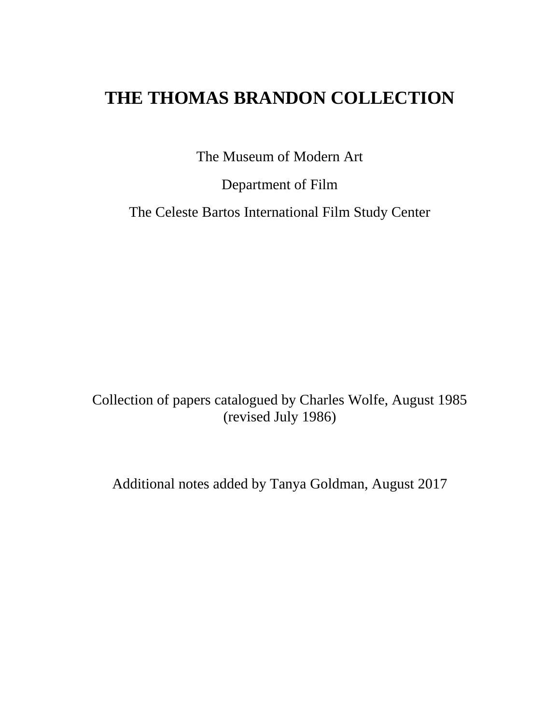# **THE THOMAS BRANDON COLLECTION**

The Museum of Modern Art

Department of Film

The Celeste Bartos International Film Study Center

Collection of papers catalogued by Charles Wolfe, August 1985 (revised July 1986)

Additional notes added by Tanya Goldman, August 2017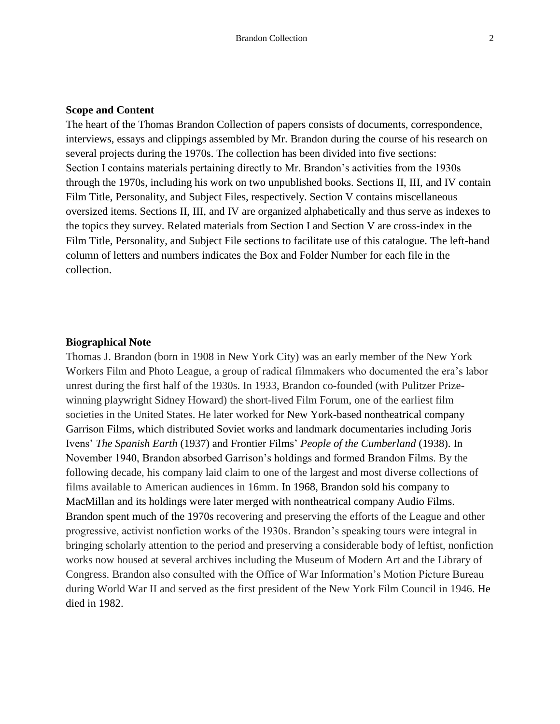#### **Scope and Content**

The heart of the Thomas Brandon Collection of papers consists of documents, correspondence, interviews, essays and clippings assembled by Mr. Brandon during the course of his research on several projects during the 1970s. The collection has been divided into five sections: Section I contains materials pertaining directly to Mr. Brandon's activities from the 1930s through the 1970s, including his work on two unpublished books. Sections II, III, and IV contain Film Title, Personality, and Subject Files, respectively. Section V contains miscellaneous oversized items. Sections II, III, and IV are organized alphabetically and thus serve as indexes to the topics they survey. Related materials from Section I and Section V are cross-index in the Film Title, Personality, and Subject File sections to facilitate use of this catalogue. The left-hand column of letters and numbers indicates the Box and Folder Number for each file in the collection.

#### **Biographical Note**

Thomas J. Brandon (born in 1908 in New York City) was an early member of the New York Workers Film and Photo League, a group of radical filmmakers who documented the era's labor unrest during the first half of the 1930s. In 1933, Brandon co-founded (with Pulitzer Prizewinning playwright Sidney Howard) the short-lived Film Forum, one of the earliest film societies in the United States. He later worked for New York-based nontheatrical company Garrison Films, which distributed Soviet works and landmark documentaries including Joris Ivens' *The Spanish Earth* (1937) and Frontier Films' *People of the Cumberland* (1938). In November 1940, Brandon absorbed Garrison's holdings and formed Brandon Films. By the following decade, his company laid claim to one of the largest and most diverse collections of films available to American audiences in 16mm. In 1968, Brandon sold his company to MacMillan and its holdings were later merged with nontheatrical company Audio Films. Brandon spent much of the 1970s recovering and preserving the efforts of the League and other progressive, activist nonfiction works of the 1930s. Brandon's speaking tours were integral in bringing scholarly attention to the period and preserving a considerable body of leftist, nonfiction works now housed at several archives including the Museum of Modern Art and the Library of Congress. Brandon also consulted with the Office of War Information's Motion Picture Bureau during World War II and served as the first president of the New York Film Council in 1946. He died in 1982.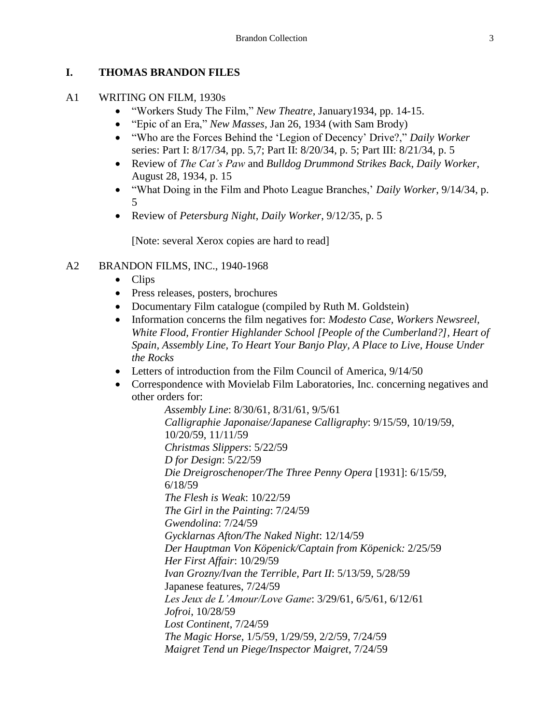## **I. THOMAS BRANDON FILES**

#### A1 WRITING ON FILM, 1930s

- "Workers Study The Film," *New Theatre*, January1934, pp. 14-15.
- "Epic of an Era," *New Masses*, Jan 26, 1934 (with Sam Brody)
- "Who are the Forces Behind the 'Legion of Decency' Drive?," *Daily Worker* series: Part I: 8/17/34, pp. 5,7; Part II: 8/20/34, p. 5; Part III: 8/21/34, p. 5
- Review of *The Cat's Paw* and *Bulldog Drummond Strikes Back*, *Daily Worker*, August 28, 1934, p. 15
- "What Doing in the Film and Photo League Branches,' *Daily Worker*, 9/14/34, p. 5
- Review of *Petersburg Night*, *Daily Worker*, 9/12/35, p. 5

[Note: several Xerox copies are hard to read]

#### A2 BRANDON FILMS, INC., 1940-1968

- Clips
- Press releases, posters, brochures
- Documentary Film catalogue (compiled by Ruth M. Goldstein)
- Information concerns the film negatives for: *Modesto Case, Workers Newsreel, White Flood, Frontier Highlander School [People of the Cumberland?], Heart of Spain, Assembly Line, To Heart Your Banjo Play, A Place to Live, House Under the Rocks*
- Letters of introduction from the Film Council of America,  $9/14/50$
- Correspondence with Movielab Film Laboratories, Inc. concerning negatives and other orders for:

*Assembly Line*: 8/30/61, 8/31/61, 9/5/61 *Calligraphie Japonaise/Japanese Calligraphy*: 9/15/59, 10/19/59, 10/20/59, 11/11/59 *Christmas Slippers*: 5/22/59 *D for Design*: 5/22/59 *Die Dreigroschenoper/The Three Penny Opera* [1931]: 6/15/59, 6/18/59 *The Flesh is Weak*: 10/22/59 *The Girl in the Painting*: 7/24/59 *Gwendolina*: 7/24/59 *Gycklarnas Afton/The Naked Night*: 12/14/59 *Der Hauptman Von Köpenick/Captain from Köpenick:* 2/25/59 *Her First Affair*: 10/29/59 *Ivan Grozny/Ivan the Terrible, Part II*: 5/13/59, 5/28/59 Japanese features, 7/24/59 *Les Jeux de L'Amour/Love Game*: 3/29/61, 6/5/61, 6/12/61 *Jofroi*, 10/28/59 *Lost Continent*, 7/24/59 *The Magic Horse*, 1/5/59, 1/29/59, 2/2/59, 7/24/59 *Maigret Tend un Piege/Inspector Maigret*, 7/24/59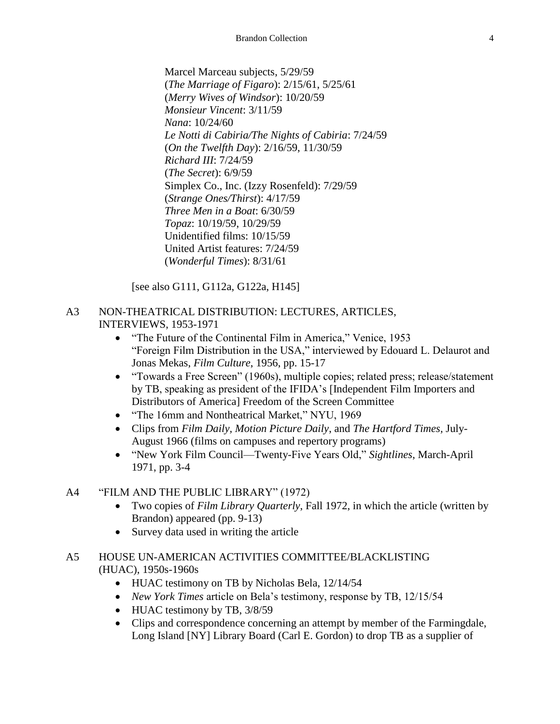Marcel Marceau subjects, 5/29/59 (*The Marriage of Figaro*): 2/15/61, 5/25/61 (*Merry Wives of Windsor*): 10/20/59 *Monsieur Vincent*: 3/11/59 *Nana*: 10/24/60 *Le Notti di Cabiria/The Nights of Cabiria*: 7/24/59 (*On the Twelfth Day*): 2/16/59, 11/30/59 *Richard III*: 7/24/59 (*The Secret*): 6/9/59 Simplex Co., Inc. (Izzy Rosenfeld): 7/29/59 (*Strange Ones/Thirst*): 4/17/59 *Three Men in a Boat*: 6/30/59 *Topaz*: 10/19/59, 10/29/59 Unidentified films: 10/15/59 United Artist features: 7/24/59 (*Wonderful Times*): 8/31/61

[see also G111, G112a, G122a, H145]

#### A3 NON-THEATRICAL DISTRIBUTION: LECTURES, ARTICLES, INTERVIEWS, 1953-1971

- "The Future of the Continental Film in America," Venice, 1953 "Foreign Film Distribution in the USA," interviewed by Edouard L. Delaurot and Jonas Mekas, *Film Culture*, 1956, pp. 15-17
- "Towards a Free Screen" (1960s), multiple copies; related press; release/statement by TB, speaking as president of the IFIDA's [Independent Film Importers and Distributors of America] Freedom of the Screen Committee
- "The 16mm and Nontheatrical Market," NYU, 1969
- Clips from *Film Daily, Motion Picture Daily*, and *The Hartford Times,* July-August 1966 (films on campuses and repertory programs)
- "New York Film Council—Twenty-Five Years Old," *Sightlines*, March-April 1971, pp. 3-4

## A4 "FILM AND THE PUBLIC LIBRARY" (1972)

- Two copies of *Film Library Quarterly*, Fall 1972, in which the article (written by Brandon) appeared (pp. 9-13)
- Survey data used in writing the article

## A5 HOUSE UN-AMERICAN ACTIVITIES COMMITTEE/BLACKLISTING (HUAC), 1950s-1960s

- HUAC testimony on TB by Nicholas Bela, 12/14/54
- *New York Times* article on Bela's testimony, response by TB, 12/15/54
- HUAC testimony by TB,  $3/8/59$
- Clips and correspondence concerning an attempt by member of the Farmingdale, Long Island [NY] Library Board (Carl E. Gordon) to drop TB as a supplier of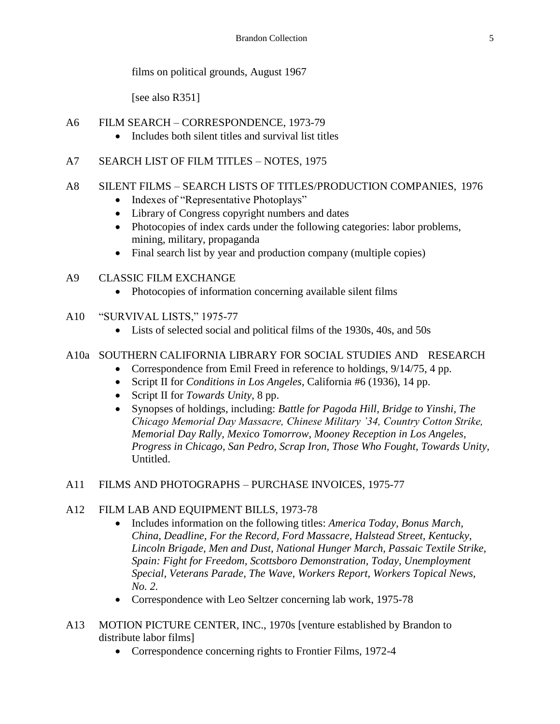films on political grounds, August 1967

[see also R351]

- A6 FILM SEARCH CORRESPONDENCE, 1973-79
	- Includes both silent titles and survival list titles
- A7 SEARCH LIST OF FILM TITLES NOTES, 1975

## A8 SILENT FILMS – SEARCH LISTS OF TITLES/PRODUCTION COMPANIES, 1976

- Indexes of "Representative Photoplays"
- Library of Congress copyright numbers and dates
- Photocopies of index cards under the following categories: labor problems, mining, military, propaganda
- Final search list by year and production company (multiple copies)
- A9 CLASSIC FILM EXCHANGE
	- Photocopies of information concerning available silent films
- A10 "SURVIVAL LISTS," 1975-77
	- Lists of selected social and political films of the 1930s, 40s, and 50s

# A10a SOUTHERN CALIFORNIA LIBRARY FOR SOCIAL STUDIES AND RESEARCH

- Correspondence from Emil Freed in reference to holdings,  $9/14/75$ , 4 pp.
- Script II for *Conditions in Los Angeles*, California #6 (1936), 14 pp.
- Script II for *Towards Unity*, 8 pp.
- Synopses of holdings, including: *Battle for Pagoda Hill, Bridge to Yinshi, The Chicago Memorial Day Massacre, Chinese Military '34, Country Cotton Strike, Memorial Day Rally, Mexico Tomorrow, Mooney Reception in Los Angeles, Progress in Chicago, San Pedro, Scrap Iron, Those Who Fought, Towards Unity,* Untitled.

# A11 FILMS AND PHOTOGRAPHS – PURCHASE INVOICES, 1975-77

# A12 FILM LAB AND EQUIPMENT BILLS, 1973-78

- Includes information on the following titles: *America Today, Bonus March, China, Deadline, For the Record, Ford Massacre, Halstead Street, Kentucky, Lincoln Brigade, Men and Dust, National Hunger March, Passaic Textile Strike, Spain: Fight for Freedom, Scottsboro Demonstration, Today, Unemployment Special, Veterans Parade, The Wave, Workers Report, Workers Topical News, No. 2.*
- Correspondence with Leo Seltzer concerning lab work, 1975-78
- A13 MOTION PICTURE CENTER, INC., 1970s [venture established by Brandon to distribute labor films]
	- Correspondence concerning rights to Frontier Films, 1972-4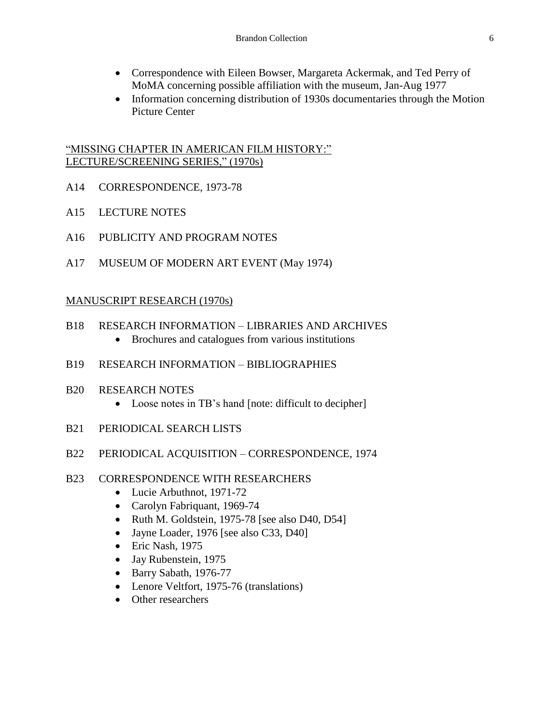- Correspondence with Eileen Bowser, Margareta Ackermak, and Ted Perry of MoMA concerning possible affiliation with the museum, Jan-Aug 1977
- Information concerning distribution of 1930s documentaries through the Motion Picture Center

#### "MISSING CHAPTER IN AMERICAN FILM HISTORY:" LECTURE/SCREENING SERIES," (1970s)

- A14 CORRESPONDENCE, 1973-78
- A15 LECTURE NOTES
- A16 PUBLICITY AND PROGRAM NOTES
- A17 MUSEUM OF MODERN ART EVENT (May 1974)

#### MANUSCRIPT RESEARCH (1970s)

- B18 RESEARCH INFORMATION LIBRARIES AND ARCHIVES
	- Brochures and catalogues from various institutions
- B19 RESEARCH INFORMATION BIBLIOGRAPHIES
- B20 RESEARCH NOTES
	- Loose notes in TB's hand [note: difficult to decipher]
- B21 PERIODICAL SEARCH LISTS
- B22 PERIODICAL ACQUISITION CORRESPONDENCE, 1974
- B23 CORRESPONDENCE WITH RESEARCHERS
	- Lucie Arbuthnot, 1971-72
	- Carolyn Fabriquant, 1969-74
	- Ruth M. Goldstein, 1975-78 [see also D40, D54]
	- Jayne Loader, 1976 [see also C33, D40]
	- Eric Nash, 1975
	- Jay Rubenstein, 1975
	- Barry Sabath, 1976-77
	- Lenore Veltfort, 1975-76 (translations)
	- Other researchers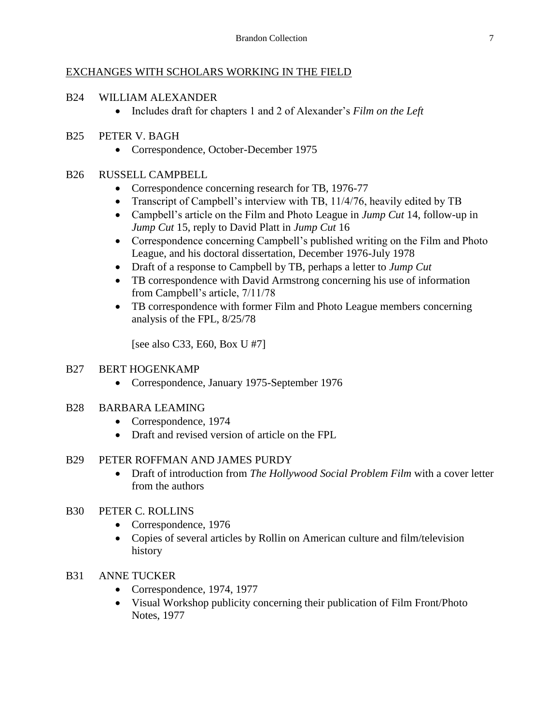## EXCHANGES WITH SCHOLARS WORKING IN THE FIELD

#### B24 WILLIAM ALEXANDER

Includes draft for chapters 1 and 2 of Alexander's *Film on the Left*

## B25 PETER V. BAGH

Correspondence, October-December 1975

## B26 RUSSELL CAMPBELL

- Correspondence concerning research for TB, 1976-77
- Transcript of Campbell's interview with TB, 11/4/76, heavily edited by TB
- Campbell's article on the Film and Photo League in *Jump Cut* 14, follow-up in *Jump Cut* 15, reply to David Platt in *Jump Cut* 16
- Correspondence concerning Campbell's published writing on the Film and Photo League, and his doctoral dissertation, December 1976-July 1978
- Draft of a response to Campbell by TB, perhaps a letter to *Jump Cut*
- TB correspondence with David Armstrong concerning his use of information from Campbell's article, 7/11/78
- TB correspondence with former Film and Photo League members concerning analysis of the FPL, 8/25/78

[see also C33, E60, Box U #7]

#### B27 BERT HOGENKAMP

Correspondence, January 1975-September 1976

#### B28 BARBARA LEAMING

- Correspondence, 1974
- Draft and revised version of article on the FPL

## B29 PETER ROFFMAN AND JAMES PURDY

- Draft of introduction from *The Hollywood Social Problem Film* with a cover letter from the authors
- B30 PETER C. ROLLINS
	- Correspondence, 1976
	- Copies of several articles by Rollin on American culture and film/television history
- B31 ANNE TUCKER
	- Correspondence, 1974, 1977
	- Visual Workshop publicity concerning their publication of Film Front/Photo Notes, 1977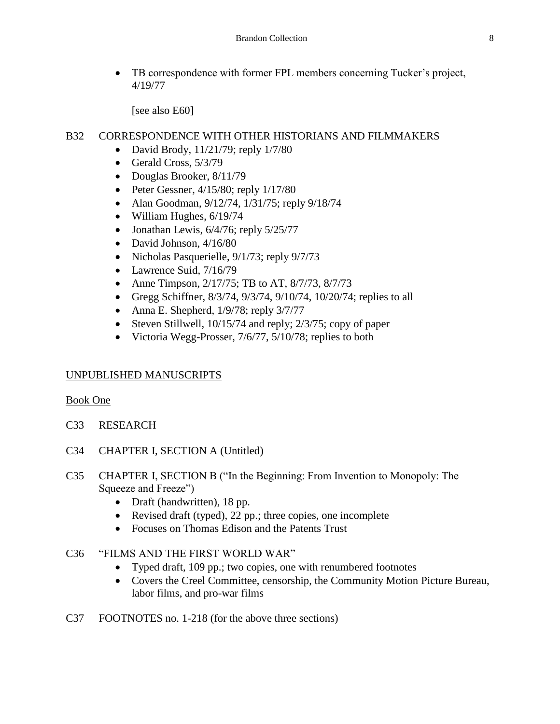TB correspondence with former FPL members concerning Tucker's project, 4/19/77

[see also E60]

#### B32 CORRESPONDENCE WITH OTHER HISTORIANS AND FILMMAKERS

- David Brody,  $11/21/79$ ; reply  $1/7/80$
- Gerald Cross, 5/3/79
- Douglas Brooker, 8/11/79
- Peter Gessner,  $4/15/80$ ; reply  $1/17/80$
- Alan Goodman, 9/12/74, 1/31/75; reply 9/18/74
- $\bullet$  William Hughes, 6/19/74
- Jonathan Lewis,  $6/4/76$ ; reply  $5/25/77$
- David Johnson,  $4/16/80$
- Nicholas Pasquerielle,  $9/1/73$ ; reply  $9/7/73$
- Lawrence Suid, 7/16/79
- Anne Timpson,  $2/17/75$ ; TB to AT,  $8/7/73$ ,  $8/7/73$
- Gregg Schiffner,  $8/3/74$ ,  $9/3/74$ ,  $9/10/74$ ,  $10/20/74$ ; replies to all
- Anna E. Shepherd,  $1/9/78$ ; reply  $3/7/77$
- Steven Stillwell,  $10/15/74$  and reply;  $2/3/75$ ; copy of paper
- Victoria Wegg-Prosser,  $7/6/77$ ,  $5/10/78$ ; replies to both

#### UNPUBLISHED MANUSCRIPTS

#### Book One

- C33 RESEARCH
- C34 CHAPTER I, SECTION A (Untitled)
- C35 CHAPTER I, SECTION B ("In the Beginning: From Invention to Monopoly: The Squeeze and Freeze")
	- Draft (handwritten), 18 pp.
	- Revised draft (typed), 22 pp.; three copies, one incomplete
	- Focuses on Thomas Edison and the Patents Trust
- C36 "FILMS AND THE FIRST WORLD WAR"
	- Typed draft, 109 pp.; two copies, one with renumbered footnotes
	- Covers the Creel Committee, censorship, the Community Motion Picture Bureau, labor films, and pro-war films
- C37 FOOTNOTES no. 1-218 (for the above three sections)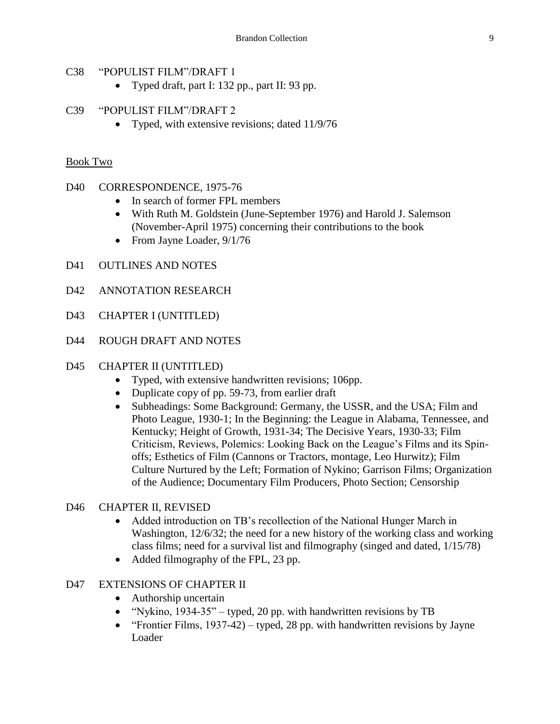#### C38 "POPULIST FILM"/DRAFT 1

Typed draft, part I: 132 pp., part II: 93 pp.

#### C39 "POPULIST FILM"/DRAFT 2

• Typed, with extensive revisions; dated 11/9/76

#### Book Two

#### D40 CORRESPONDENCE, 1975-76

- In search of former FPL members
- With Ruth M. Goldstein (June-September 1976) and Harold J. Salemson (November-April 1975) concerning their contributions to the book
- From Jayne Loader,  $9/1/76$
- D41 OUTLINES AND NOTES
- D42 ANNOTATION RESEARCH
- D43 CHAPTER I (UNTITLED)
- D44 ROUGH DRAFT AND NOTES

#### D45 CHAPTER II (UNTITLED)

- Typed, with extensive handwritten revisions; 106pp.
- Duplicate copy of pp. 59-73, from earlier draft
- Subheadings: Some Background: Germany, the USSR, and the USA; Film and Photo League, 1930-1; In the Beginning: the League in Alabama, Tennessee, and Kentucky; Height of Growth, 1931-34; The Decisive Years, 1930-33; Film Criticism, Reviews, Polemics: Looking Back on the League's Films and its Spinoffs; Esthetics of Film (Cannons or Tractors, montage, Leo Hurwitz); Film Culture Nurtured by the Left; Formation of Nykino; Garrison Films; Organization of the Audience; Documentary Film Producers, Photo Section; Censorship

#### D46 CHAPTER II, REVISED

- Added introduction on TB's recollection of the National Hunger March in Washington, 12/6/32; the need for a new history of the working class and working class films; need for a survival list and filmography (singed and dated, 1/15/78)
- Added filmography of the FPL, 23 pp.

#### D47 EXTENSIONS OF CHAPTER II

- Authorship uncertain
- "Nykino,  $1934-35"$  typed, 20 pp. with handwritten revisions by TB
- "Frontier Films,  $1937-42$ ) typed, 28 pp. with handwritten revisions by Jayne Loader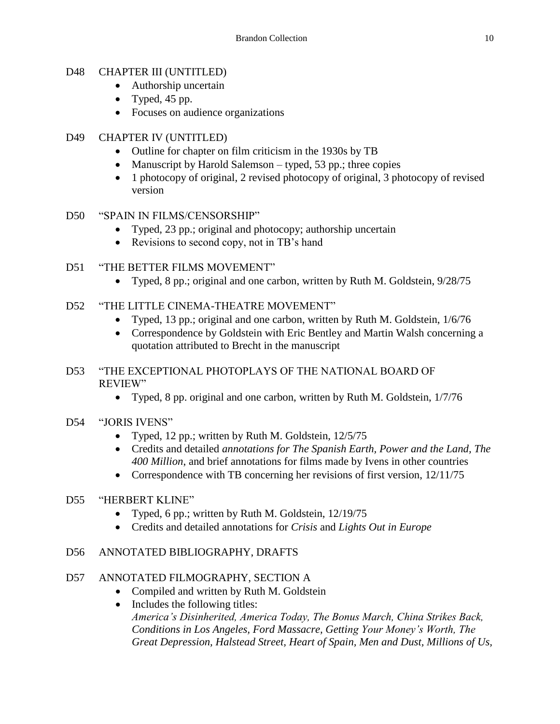#### D48 CHAPTER III (UNTITLED)

- Authorship uncertain
- Typed,  $45$  pp.
- Focuses on audience organizations

#### D49 CHAPTER IV (UNTITLED)

- Outline for chapter on film criticism in the 1930s by TB
- Manuscript by Harold Salemson typed, 53 pp.; three copies
- 1 photocopy of original, 2 revised photocopy of original, 3 photocopy of revised version
- D50 "SPAIN IN FILMS/CENSORSHIP"
	- Typed, 23 pp.; original and photocopy; authorship uncertain
	- Revisions to second copy, not in TB's hand
- D51 "THE BETTER FILMS MOVEMENT"
	- Typed, 8 pp.; original and one carbon, written by Ruth M. Goldstein, 9/28/75
- D52 "THE LITTLE CINEMA-THEATRE MOVEMENT"
	- Typed, 13 pp.; original and one carbon, written by Ruth M. Goldstein, 1/6/76
	- Correspondence by Goldstein with Eric Bentley and Martin Walsh concerning a quotation attributed to Brecht in the manuscript

#### D53 "THE EXCEPTIONAL PHOTOPLAYS OF THE NATIONAL BOARD OF REVIEW"

- Typed, 8 pp. original and one carbon, written by Ruth M. Goldstein, 1/7/76
- D54 "JORIS IVENS"
	- Typed, 12 pp.; written by Ruth M. Goldstein, 12/5/75
	- Credits and detailed *annotations for The Spanish Earth, Power and the Land, The 400 Million*, and brief annotations for films made by Ivens in other countries
	- Correspondence with TB concerning her revisions of first version,  $12/11/75$

#### D55 "HERBERT KLINE"

- Typed, 6 pp.; written by Ruth M. Goldstein, 12/19/75
- Credits and detailed annotations for *Crisis* and *Lights Out in Europe*

## D56 ANNOTATED BIBLIOGRAPHY, DRAFTS

## D57 ANNOTATED FILMOGRAPHY, SECTION A

- Compiled and written by Ruth M. Goldstein
- Includes the following titles: *America's Disinherited, America Today, The Bonus March, China Strikes Back, Conditions in Los Angeles, Ford Massacre, Getting Your Money's Worth, The Great Depression, Halstead Street, Heart of Spain, Men and Dust, Millions of Us,*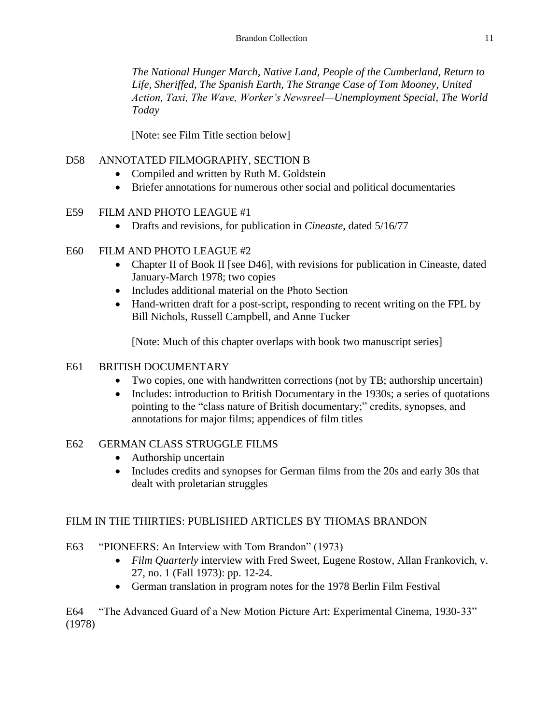*The National Hunger March, Native Land, People of the Cumberland, Return to Life, Sheriffed, The Spanish Earth, The Strange Case of Tom Mooney, United Action, Taxi, The Wave, Worker's Newsreel—Unemployment Special, The World Today*

[Note: see Film Title section below]

## D58 ANNOTATED FILMOGRAPHY, SECTION B

- Compiled and written by Ruth M. Goldstein
- Briefer annotations for numerous other social and political documentaries

# E59 FILM AND PHOTO LEAGUE #1

Drafts and revisions, for publication in *Cineaste*, dated 5/16/77

# E60 FILM AND PHOTO LEAGUE #2

- Chapter II of Book II [see D46], with revisions for publication in Cineaste, dated January-March 1978; two copies
- Includes additional material on the Photo Section
- Hand-written draft for a post-script, responding to recent writing on the FPL by Bill Nichols, Russell Campbell, and Anne Tucker

[Note: Much of this chapter overlaps with book two manuscript series]

## E61 BRITISH DOCUMENTARY

- Two copies, one with handwritten corrections (not by TB; authorship uncertain)
- Includes: introduction to British Documentary in the 1930s; a series of quotations pointing to the "class nature of British documentary;" credits, synopses, and annotations for major films; appendices of film titles

# E62 GERMAN CLASS STRUGGLE FILMS

- Authorship uncertain
- Includes credits and synopses for German films from the 20s and early 30s that dealt with proletarian struggles

# FILM IN THE THIRTIES: PUBLISHED ARTICLES BY THOMAS BRANDON

E63 "PIONEERS: An Interview with Tom Brandon" (1973)

- *Film Quarterly* interview with Fred Sweet, Eugene Rostow, Allan Frankovich, v. 27, no. 1 (Fall 1973): pp. 12-24.
- German translation in program notes for the 1978 Berlin Film Festival

E64 "The Advanced Guard of a New Motion Picture Art: Experimental Cinema, 1930-33" (1978)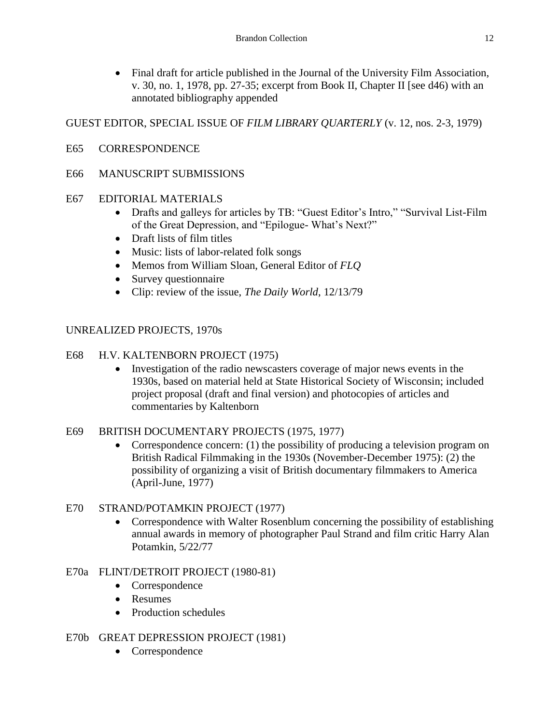Final draft for article published in the Journal of the University Film Association, v. 30, no. 1, 1978, pp. 27-35; excerpt from Book II, Chapter II [see d46) with an annotated bibliography appended

## GUEST EDITOR, SPECIAL ISSUE OF *FILM LIBRARY QUARTERLY* (v. 12, nos. 2-3, 1979)

E65 CORRESPONDENCE

#### E66 MANUSCRIPT SUBMISSIONS

#### E67 EDITORIAL MATERIALS

- Drafts and galleys for articles by TB: "Guest Editor's Intro," "Survival List-Film of the Great Depression, and "Epilogue- What's Next?"
- Draft lists of film titles
- Music: lists of labor-related folk songs
- Memos from William Sloan, General Editor of *FLQ*
- Survey questionnaire
- Clip: review of the issue, *The Daily World*, 12/13/79

## UNREALIZED PROJECTS, 1970s

#### E68 H.V. KALTENBORN PROJECT (1975)

• Investigation of the radio newscasters coverage of major news events in the 1930s, based on material held at State Historical Society of Wisconsin; included project proposal (draft and final version) and photocopies of articles and commentaries by Kaltenborn

#### E69 BRITISH DOCUMENTARY PROJECTS (1975, 1977)

• Correspondence concern: (1) the possibility of producing a television program on British Radical Filmmaking in the 1930s (November-December 1975): (2) the possibility of organizing a visit of British documentary filmmakers to America (April-June, 1977)

## E70 STRAND/POTAMKIN PROJECT (1977)

• Correspondence with Walter Rosenblum concerning the possibility of establishing annual awards in memory of photographer Paul Strand and film critic Harry Alan Potamkin, 5/22/77

#### E70a FLINT/DETROIT PROJECT (1980-81)

- Correspondence
- Resumes
- Production schedules

#### E70b GREAT DEPRESSION PROJECT (1981)

• Correspondence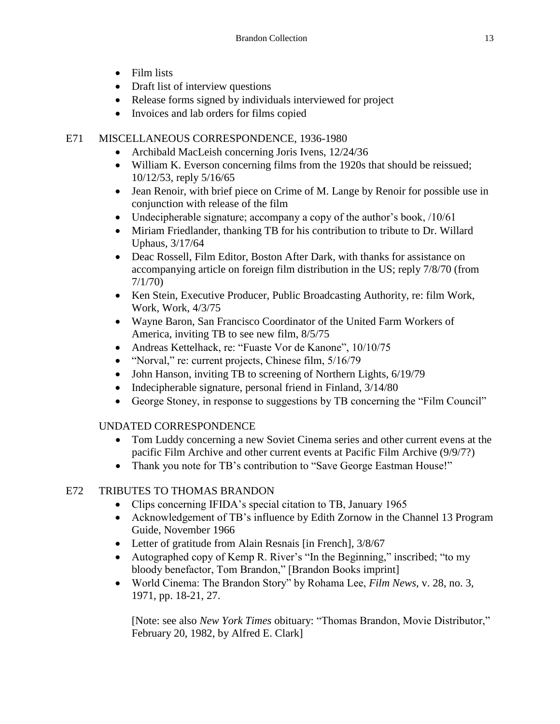- Film lists
- Draft list of interview questions
- Release forms signed by individuals interviewed for project
- Invoices and lab orders for films copied

# E71 MISCELLANEOUS CORRESPONDENCE, 1936-1980

- Archibald MacLeish concerning Joris Ivens, 12/24/36
- William K. Everson concerning films from the 1920s that should be reissued; 10/12/53, reply 5/16/65
- Jean Renoir, with brief piece on Crime of M. Lange by Renoir for possible use in conjunction with release of the film
- Undecipherable signature; accompany a copy of the author's book, /10/61
- Miriam Friedlander, thanking TB for his contribution to tribute to Dr. Willard Uphaus, 3/17/64
- Deac Rossell, Film Editor, Boston After Dark, with thanks for assistance on accompanying article on foreign film distribution in the US; reply 7/8/70 (from 7/1/70)
- Ken Stein, Executive Producer, Public Broadcasting Authority, re: film Work, Work, Work, 4/3/75
- Wayne Baron, San Francisco Coordinator of the United Farm Workers of America, inviting TB to see new film, 8/5/75
- Andreas Kettelhack, re: "Fuaste Vor de Kanone", 10/10/75
- "Norval," re: current projects, Chinese film,  $5/16/79$
- John Hanson, inviting TB to screening of Northern Lights, 6/19/79
- $\bullet$  Indecipherable signature, personal friend in Finland,  $3/14/80$
- George Stoney, in response to suggestions by TB concerning the "Film Council"

# UNDATED CORRESPONDENCE

- Tom Luddy concerning a new Soviet Cinema series and other current evens at the pacific Film Archive and other current events at Pacific Film Archive (9/9/7?)
- Thank you note for TB's contribution to "Save George Eastman House!"

# E72 TRIBUTES TO THOMAS BRANDON

- Clips concerning IFIDA's special citation to TB, January 1965
- Acknowledgement of TB's influence by Edith Zornow in the Channel 13 Program Guide, November 1966
- Letter of gratitude from Alain Resnais [in French], 3/8/67
- Autographed copy of Kemp R. River's "In the Beginning," inscribed; "to my bloody benefactor, Tom Brandon," [Brandon Books imprint]
- World Cinema: The Brandon Story" by Rohama Lee, *Film News*, v. 28, no. 3, 1971, pp. 18-21, 27.

[Note: see also *New York Times* obituary: "Thomas Brandon, Movie Distributor," February 20, 1982, by Alfred E. Clark]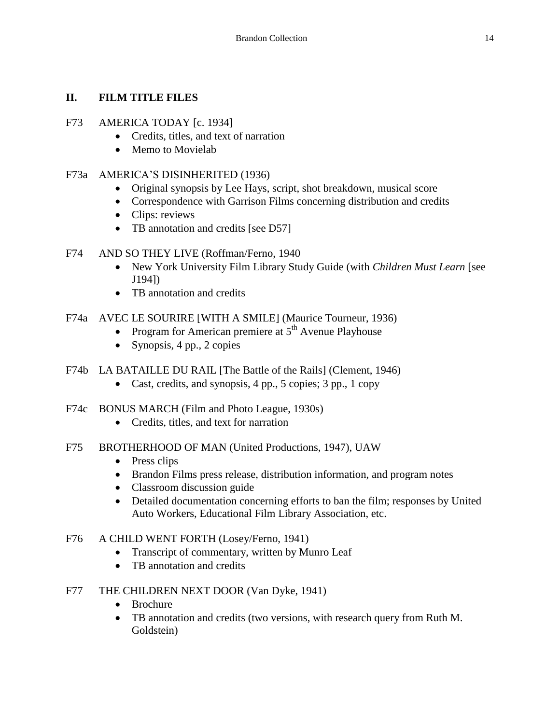## **II. FILM TITLE FILES**

#### F73 AMERICA TODAY [c. 1934]

- Credits, titles, and text of narration
- Memo to Movielab

#### F73a AMERICA'S DISINHERITED (1936)

- Original synopsis by Lee Hays, script, shot breakdown, musical score
- Correspondence with Garrison Films concerning distribution and credits
- Clips: reviews
- TB annotation and credits [see D57]
- F74 AND SO THEY LIVE (Roffman/Ferno, 1940
	- New York University Film Library Study Guide (with *Children Must Learn* [see J194])
	- TB annotation and credits
- F74a AVEC LE SOURIRE [WITH A SMILE] (Maurice Tourneur, 1936)
	- Program for American premiere at  $5<sup>th</sup>$  Avenue Playhouse
	- Synopsis,  $4$  pp.,  $2$  copies
- F74b LA BATAILLE DU RAIL [The Battle of the Rails] (Clement, 1946)
	- Cast, credits, and synopsis,  $4$  pp.,  $5$  copies;  $3$  pp.,  $1$  copy
- F74c BONUS MARCH (Film and Photo League, 1930s)
	- Credits, titles, and text for narration
- F75 BROTHERHOOD OF MAN (United Productions, 1947), UAW
	- Press clips
	- Brandon Films press release, distribution information, and program notes
	- Classroom discussion guide
	- Detailed documentation concerning efforts to ban the film; responses by United Auto Workers, Educational Film Library Association, etc.

#### F76 A CHILD WENT FORTH (Losey/Ferno, 1941)

- Transcript of commentary, written by Munro Leaf
- TB annotation and credits

#### F77 THE CHILDREN NEXT DOOR (Van Dyke, 1941)

- Brochure
- TB annotation and credits (two versions, with research query from Ruth M. Goldstein)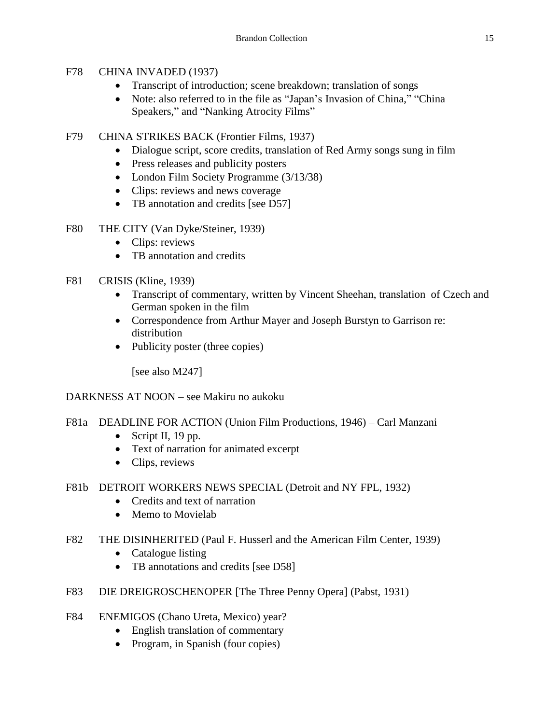## F78 CHINA INVADED (1937)

- Transcript of introduction; scene breakdown; translation of songs
- Note: also referred to in the file as "Japan's Invasion of China," "China Speakers," and "Nanking Atrocity Films"
- F79 CHINA STRIKES BACK (Frontier Films, 1937)
	- Dialogue script, score credits, translation of Red Army songs sung in film
	- Press releases and publicity posters
	- London Film Society Programme (3/13/38)
	- Clips: reviews and news coverage
	- TB annotation and credits [see D57]
- F80 THE CITY (Van Dyke/Steiner, 1939)
	- Clips: reviews
	- TB annotation and credits

# F81 CRISIS (Kline, 1939)

- Transcript of commentary, written by Vincent Sheehan, translation of Czech and German spoken in the film
- Correspondence from Arthur Mayer and Joseph Burstyn to Garrison re: distribution
- Publicity poster (three copies)

[see also M247]

# DARKNESS AT NOON – see Makiru no aukoku

- F81a DEADLINE FOR ACTION (Union Film Productions, 1946) Carl Manzani
	- $\bullet$  Script II, 19 pp.
	- Text of narration for animated excerpt
	- Clips, reviews
- F81b DETROIT WORKERS NEWS SPECIAL (Detroit and NY FPL, 1932)
	- Credits and text of narration
	- Memo to Movielab
- F82 THE DISINHERITED (Paul F. Husserl and the American Film Center, 1939)
	- Catalogue listing
	- TB annotations and credits [see D58]
- F83 DIE DREIGROSCHENOPER [The Three Penny Opera] (Pabst, 1931)
- F84 ENEMIGOS (Chano Ureta, Mexico) year?
	- English translation of commentary
	- Program, in Spanish (four copies)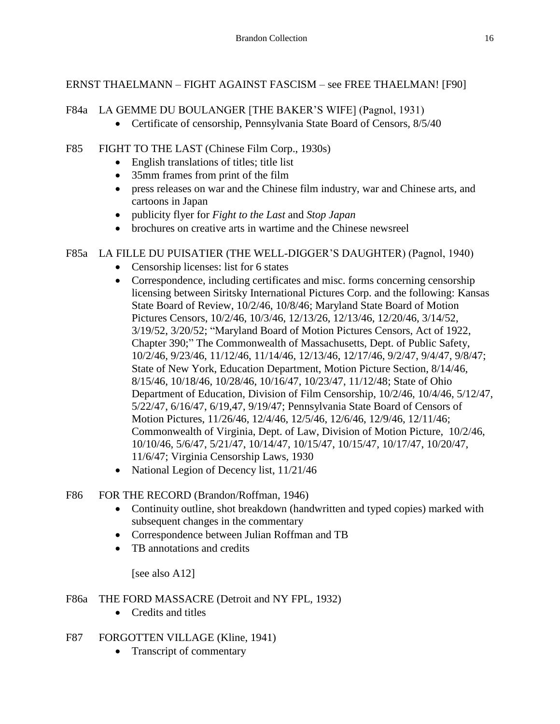## ERNST THAELMANN – FIGHT AGAINST FASCISM – see FREE THAELMAN! [F90]

#### F84a LA GEMME DU BOULANGER [THE BAKER'S WIFE] (Pagnol, 1931)

• Certificate of censorship, Pennsylvania State Board of Censors, 8/5/40

## F85 FIGHT TO THE LAST (Chinese Film Corp., 1930s)

- English translations of titles; title list
- 35mm frames from print of the film
- press releases on war and the Chinese film industry, war and Chinese arts, and cartoons in Japan
- publicity flyer for *Fight to the Last* and *Stop Japan*
- brochures on creative arts in wartime and the Chinese newsreel

## F85a LA FILLE DU PUISATIER (THE WELL-DIGGER'S DAUGHTER) (Pagnol, 1940)

- Censorship licenses: list for 6 states
- Correspondence, including certificates and misc. forms concerning censorship licensing between Siritsky International Pictures Corp. and the following: Kansas State Board of Review, 10/2/46, 10/8/46; Maryland State Board of Motion Pictures Censors, 10/2/46, 10/3/46, 12/13/26, 12/13/46, 12/20/46, 3/14/52, 3/19/52, 3/20/52; "Maryland Board of Motion Pictures Censors, Act of 1922, Chapter 390;" The Commonwealth of Massachusetts, Dept. of Public Safety, 10/2/46, 9/23/46, 11/12/46, 11/14/46, 12/13/46, 12/17/46, 9/2/47, 9/4/47, 9/8/47; State of New York, Education Department, Motion Picture Section, 8/14/46, 8/15/46, 10/18/46, 10/28/46, 10/16/47, 10/23/47, 11/12/48; State of Ohio Department of Education, Division of Film Censorship, 10/2/46, 10/4/46, 5/12/47, 5/22/47, 6/16/47, 6/19,47, 9/19/47; Pennsylvania State Board of Censors of Motion Pictures, 11/26/46, 12/4/46, 12/5/46, 12/6/46, 12/9/46, 12/11/46; Commonwealth of Virginia, Dept. of Law, Division of Motion Picture, 10/2/46, 10/10/46, 5/6/47, 5/21/47, 10/14/47, 10/15/47, 10/15/47, 10/17/47, 10/20/47, 11/6/47; Virginia Censorship Laws, 1930
- National Legion of Decency list,  $11/21/46$

## F86 FOR THE RECORD (Brandon/Roffman, 1946)

- Continuity outline, shot breakdown (handwritten and typed copies) marked with subsequent changes in the commentary
- Correspondence between Julian Roffman and TB
- TB annotations and credits

[see also A12]

#### F86a THE FORD MASSACRE (Detroit and NY FPL, 1932)

- Credits and titles
- F87 FORGOTTEN VILLAGE (Kline, 1941)
	- Transcript of commentary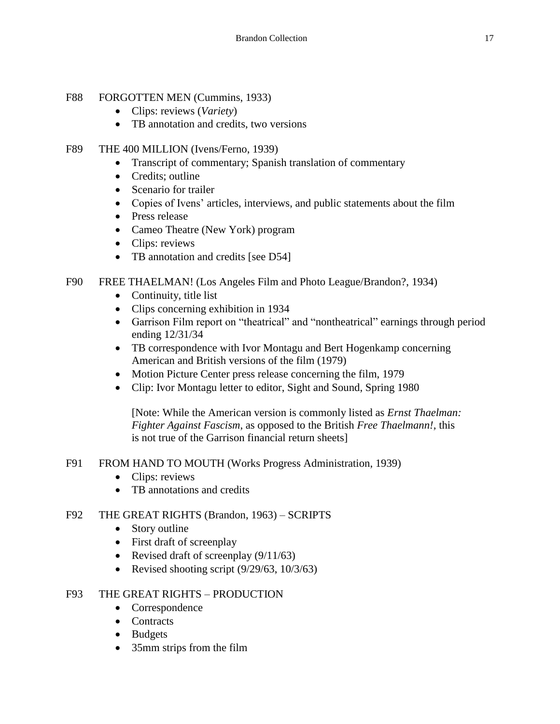## F88 FORGOTTEN MEN (Cummins, 1933)

- Clips: reviews (*Variety*)
- TB annotation and credits, two versions

## F89 THE 400 MILLION (Ivens/Ferno, 1939)

- Transcript of commentary; Spanish translation of commentary
- Credits: outline
- Scenario for trailer
- Copies of Ivens' articles, interviews, and public statements about the film
- Press release
- Cameo Theatre (New York) program
- Clips: reviews
- TB annotation and credits [see D54]

## F90 FREE THAELMAN! (Los Angeles Film and Photo League/Brandon?, 1934)

- Continuity, title list
- Clips concerning exhibition in 1934
- Garrison Film report on "theatrical" and "nontheatrical" earnings through period ending 12/31/34
- TB correspondence with Ivor Montagu and Bert Hogenkamp concerning American and British versions of the film (1979)
- Motion Picture Center press release concerning the film, 1979
- Clip: Ivor Montagu letter to editor, Sight and Sound, Spring 1980

[Note: While the American version is commonly listed as *Ernst Thaelman: Fighter Against Fascism*, as opposed to the British *Free Thaelmann!,* this is not true of the Garrison financial return sheets]

#### F91 FROM HAND TO MOUTH (Works Progress Administration, 1939)

- Clips: reviews
- TB annotations and credits

#### F92 THE GREAT RIGHTS (Brandon, 1963) – SCRIPTS

- Story outline
- First draft of screenplay
- Revised draft of screenplay  $(9/11/63)$
- Revised shooting script  $(9/29/63, 10/3/63)$

#### F93 THE GREAT RIGHTS – PRODUCTION

- Correspondence
- Contracts
- Budgets
- 35mm strips from the film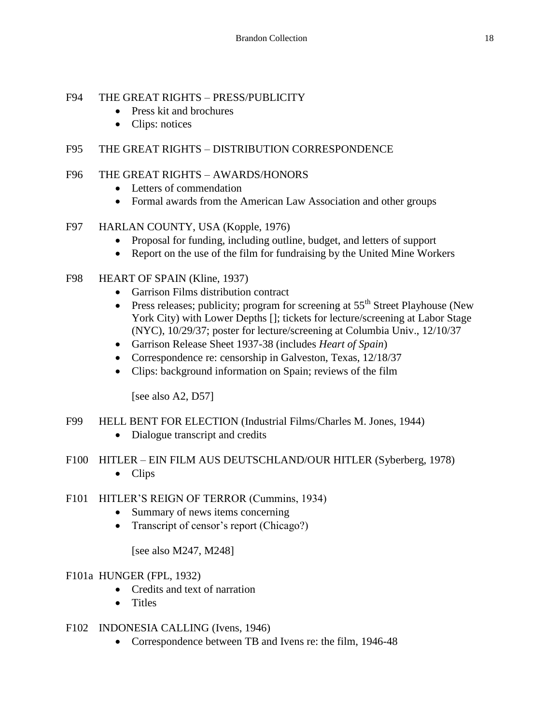## F94 THE GREAT RIGHTS – PRESS/PUBLICITY

- Press kit and brochures
- Clips: notices

## F95 THE GREAT RIGHTS – DISTRIBUTION CORRESPONDENCE

#### F96 THE GREAT RIGHTS – AWARDS/HONORS

- Letters of commendation
- Formal awards from the American Law Association and other groups
- F97 HARLAN COUNTY, USA (Kopple, 1976)
	- Proposal for funding, including outline, budget, and letters of support
	- Report on the use of the film for fundraising by the United Mine Workers
- F98 HEART OF SPAIN (Kline, 1937)
	- Garrison Films distribution contract
	- **•** Press releases; publicity; program for screening at  $55<sup>th</sup>$  Street Playhouse (New York City) with Lower Depths []; tickets for lecture/screening at Labor Stage (NYC), 10/29/37; poster for lecture/screening at Columbia Univ., 12/10/37
	- Garrison Release Sheet 1937-38 (includes *Heart of Spain*)
	- Correspondence re: censorship in Galveston, Texas, 12/18/37
	- Clips: background information on Spain; reviews of the film

[see also A2, D57]

- F99 HELL BENT FOR ELECTION (Industrial Films/Charles M. Jones, 1944)
	- Dialogue transcript and credits
- F100 HITLER EIN FILM AUS DEUTSCHLAND/OUR HITLER (Syberberg, 1978)
	- Clips
- F101 HITLER'S REIGN OF TERROR (Cummins, 1934)
	- Summary of news items concerning
	- Transcript of censor's report (Chicago?)

[see also M247, M248]

#### F101a HUNGER (FPL, 1932)

- Credits and text of narration
- Titles
- F102 INDONESIA CALLING (Ivens, 1946)
	- Correspondence between TB and Ivens re: the film, 1946-48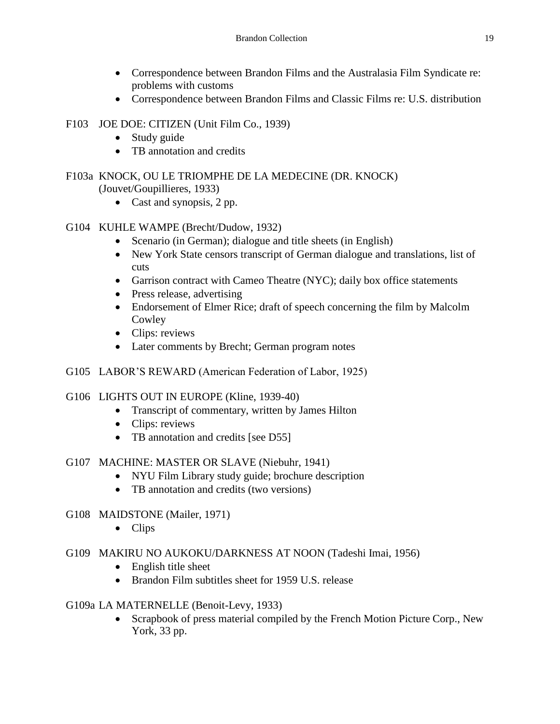- Correspondence between Brandon Films and the Australasia Film Syndicate re: problems with customs
- Correspondence between Brandon Films and Classic Films re: U.S. distribution

## F103 JOE DOE: CITIZEN (Unit Film Co., 1939)

- Study guide
- TB annotation and credits

#### F103a KNOCK, OU LE TRIOMPHE DE LA MEDECINE (DR. KNOCK) (Jouvet/Goupillieres, 1933)

- Cast and synopsis, 2 pp.
- G104 KUHLE WAMPE (Brecht/Dudow, 1932)
	- Scenario (in German); dialogue and title sheets (in English)
	- New York State censors transcript of German dialogue and translations, list of cuts
	- Garrison contract with Cameo Theatre (NYC); daily box office statements
	- Press release, advertising
	- Endorsement of Elmer Rice; draft of speech concerning the film by Malcolm Cowley
	- Clips: reviews
	- Later comments by Brecht; German program notes
- G105 LABOR'S REWARD (American Federation of Labor, 1925)

## G106 LIGHTS OUT IN EUROPE (Kline, 1939-40)

- Transcript of commentary, written by James Hilton
- Clips: reviews
- TB annotation and credits [see D55]

# G107 MACHINE: MASTER OR SLAVE (Niebuhr, 1941)

- NYU Film Library study guide; brochure description
- TB annotation and credits (two versions)

## G108 MAIDSTONE (Mailer, 1971)

• Clips

## G109 MAKIRU NO AUKOKU/DARKNESS AT NOON (Tadeshi Imai, 1956)

- English title sheet
- Brandon Film subtitles sheet for 1959 U.S. release
- G109a LA MATERNELLE (Benoit-Levy, 1933)
	- Scrapbook of press material compiled by the French Motion Picture Corp., New York, 33 pp.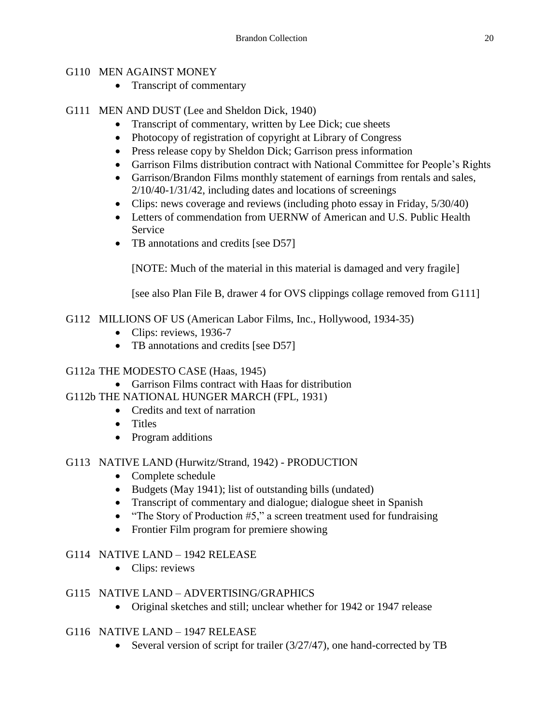## G110 MEN AGAINST MONEY

• Transcript of commentary

## G111 MEN AND DUST (Lee and Sheldon Dick, 1940)

- Transcript of commentary, written by Lee Dick; cue sheets
- Photocopy of registration of copyright at Library of Congress
- Press release copy by Sheldon Dick; Garrison press information
- Garrison Films distribution contract with National Committee for People's Rights
- Garrison/Brandon Films monthly statement of earnings from rentals and sales, 2/10/40-1/31/42, including dates and locations of screenings
- Clips: news coverage and reviews (including photo essay in Friday, 5/30/40)
- Letters of commendation from UERNW of American and U.S. Public Health Service
- TB annotations and credits [see D57]

[NOTE: Much of the material in this material is damaged and very fragile]

[see also Plan File B, drawer 4 for OVS clippings collage removed from G111]

G112 MILLIONS OF US (American Labor Films, Inc., Hollywood, 1934-35)

- Clips: reviews, 1936-7
- TB annotations and credits [see D57]

## G112a THE MODESTO CASE (Haas, 1945)

- Garrison Films contract with Haas for distribution
- G112b THE NATIONAL HUNGER MARCH (FPL, 1931)
	- Credits and text of narration
	- Titles
	- Program additions

# G113 NATIVE LAND (Hurwitz/Strand, 1942) - PRODUCTION

- Complete schedule
- Budgets (May 1941); list of outstanding bills (undated)
- Transcript of commentary and dialogue; dialogue sheet in Spanish
- "The Story of Production  $#5$ ," a screen treatment used for fundraising
- Frontier Film program for premiere showing

# G114 NATIVE LAND – 1942 RELEASE

- Clips: reviews
- G115 NATIVE LAND ADVERTISING/GRAPHICS
	- Original sketches and still; unclear whether for 1942 or 1947 release

## G116 NATIVE LAND – 1947 RELEASE

• Several version of script for trailer (3/27/47), one hand-corrected by TB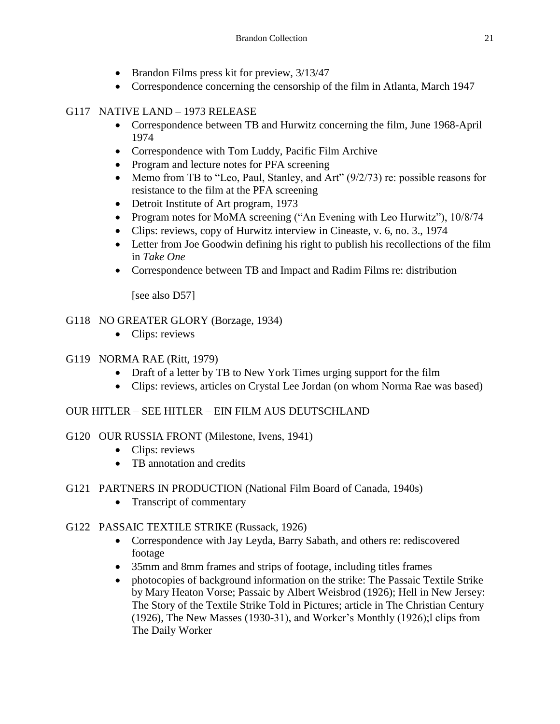- Brandon Films press kit for preview,  $3/13/47$
- Correspondence concerning the censorship of the film in Atlanta, March 1947

# G117 NATIVE LAND – 1973 RELEASE

- Correspondence between TB and Hurwitz concerning the film, June 1968-April 1974
- Correspondence with Tom Luddy, Pacific Film Archive
- Program and lecture notes for PFA screening
- Memo from TB to "Leo, Paul, Stanley, and Art" (9/2/73) re: possible reasons for resistance to the film at the PFA screening
- Detroit Institute of Art program, 1973
- Program notes for MoMA screening ("An Evening with Leo Hurwitz"), 10/8/74
- Clips: reviews, copy of Hurwitz interview in Cineaste, v. 6, no. 3., 1974
- Letter from Joe Goodwin defining his right to publish his recollections of the film in *Take One*
- Correspondence between TB and Impact and Radim Films re: distribution

[see also D57]

# G118 NO GREATER GLORY (Borzage, 1934)

• Clips: reviews

# G119 NORMA RAE (Ritt, 1979)

- Draft of a letter by TB to New York Times urging support for the film
- Clips: reviews, articles on Crystal Lee Jordan (on whom Norma Rae was based)

# OUR HITLER – SEE HITLER – EIN FILM AUS DEUTSCHLAND

- G120 OUR RUSSIA FRONT (Milestone, Ivens, 1941)
	- Clips: reviews
	- TB annotation and credits
- G121 PARTNERS IN PRODUCTION (National Film Board of Canada, 1940s)
	- Transcript of commentary

# G122 PASSAIC TEXTILE STRIKE (Russack, 1926)

- Correspondence with Jay Leyda, Barry Sabath, and others re: rediscovered footage
- 35mm and 8mm frames and strips of footage, including titles frames
- photocopies of background information on the strike: The Passaic Textile Strike by Mary Heaton Vorse; Passaic by Albert Weisbrod (1926); Hell in New Jersey: The Story of the Textile Strike Told in Pictures; article in The Christian Century (1926), The New Masses (1930-31), and Worker's Monthly (1926);l clips from The Daily Worker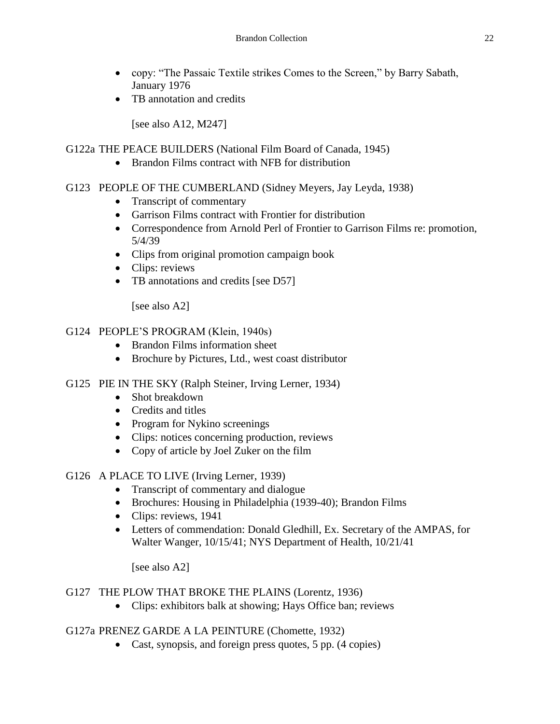- copy: "The Passaic Textile strikes Comes to the Screen," by Barry Sabath, January 1976
- TB annotation and credits

[see also A12, M247]

## G122a THE PEACE BUILDERS (National Film Board of Canada, 1945)

• Brandon Films contract with NFB for distribution

## G123 PEOPLE OF THE CUMBERLAND (Sidney Meyers, Jay Leyda, 1938)

- Transcript of commentary
- Garrison Films contract with Frontier for distribution
- Correspondence from Arnold Perl of Frontier to Garrison Films re: promotion, 5/4/39
- Clips from original promotion campaign book
- Clips: reviews
- TB annotations and credits [see D57]

[see also A2]

## G124 PEOPLE'S PROGRAM (Klein, 1940s)

- Brandon Films information sheet
- Brochure by Pictures, Ltd., west coast distributor

#### G125 PIE IN THE SKY (Ralph Steiner, Irving Lerner, 1934)

- Shot breakdown
- Credits and titles
- Program for Nykino screenings
- Clips: notices concerning production, reviews
- Copy of article by Joel Zuker on the film

## G126 A PLACE TO LIVE (Irving Lerner, 1939)

- Transcript of commentary and dialogue
- Brochures: Housing in Philadelphia (1939-40); Brandon Films
- Clips: reviews, 1941
- Letters of commendation: Donald Gledhill, Ex. Secretary of the AMPAS, for Walter Wanger, 10/15/41; NYS Department of Health, 10/21/41

[see also A2]

#### G127 THE PLOW THAT BROKE THE PLAINS (Lorentz, 1936)

Clips: exhibitors balk at showing; Hays Office ban; reviews

## G127a PRENEZ GARDE A LA PEINTURE (Chomette, 1932)

• Cast, synopsis, and foreign press quotes, 5 pp. (4 copies)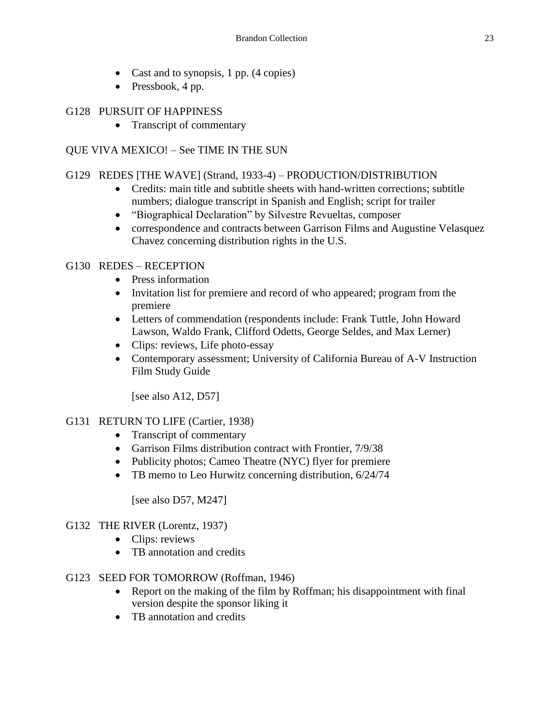- Cast and to synopsis, 1 pp.  $(4 \text{ copies})$
- $\bullet$  Pressbook, 4 pp.

#### G128 PURSUIT OF HAPPINESS

• Transcript of commentary

## QUE VIVA MEXICO! – See TIME IN THE SUN

#### G129 REDES [THE WAVE] (Strand, 1933-4) – PRODUCTION/DISTRIBUTION

- Credits: main title and subtitle sheets with hand-written corrections; subtitle numbers; dialogue transcript in Spanish and English; script for trailer
- "Biographical Declaration" by Silvestre Revueltas, composer
- correspondence and contracts between Garrison Films and Augustine Velasquez Chavez concerning distribution rights in the U.S.

## G130 REDES – RECEPTION

- Press information
- Invitation list for premiere and record of who appeared; program from the premiere
- Letters of commendation (respondents include: Frank Tuttle, John Howard Lawson, Waldo Frank, Clifford Odetts, George Seldes, and Max Lerner)
- Clips: reviews, Life photo-essay
- Contemporary assessment; University of California Bureau of A-V Instruction Film Study Guide

[see also A12, D57]

## G131 RETURN TO LIFE (Cartier, 1938)

- Transcript of commentary
- Garrison Films distribution contract with Frontier, 7/9/38
- Publicity photos; Cameo Theatre (NYC) flyer for premiere
- TB memo to Leo Hurwitz concerning distribution,  $6/24/74$

[see also D57, M247]

#### G132 THE RIVER (Lorentz, 1937)

- Clips: reviews
- TB annotation and credits

#### G123 SEED FOR TOMORROW (Roffman, 1946)

- Report on the making of the film by Roffman; his disappointment with final version despite the sponsor liking it
- TB annotation and credits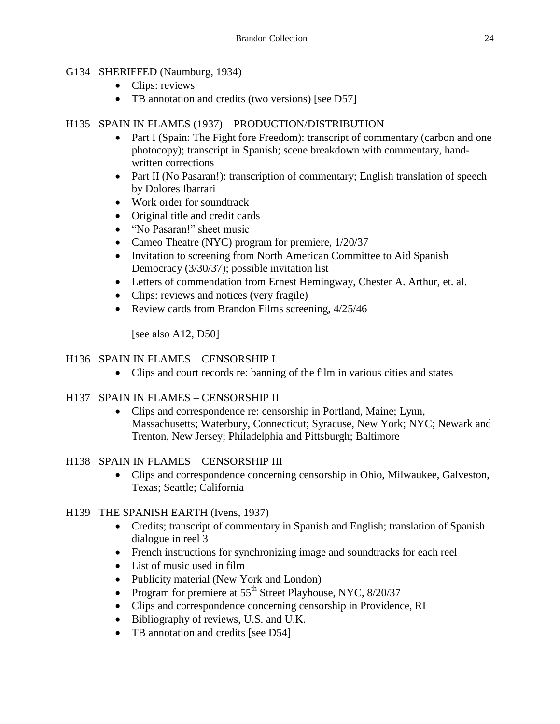## G134 SHERIFFED (Naumburg, 1934)

- Clips: reviews
- TB annotation and credits (two versions) [see D57]

#### H135 SPAIN IN FLAMES (1937) – PRODUCTION/DISTRIBUTION

- Part I (Spain: The Fight fore Freedom): transcript of commentary (carbon and one photocopy); transcript in Spanish; scene breakdown with commentary, handwritten corrections
- Part II (No Pasaran!): transcription of commentary; English translation of speech by Dolores Ibarrari
- Work order for soundtrack
- Original title and credit cards
- "No Pasaran!" sheet music
- Cameo Theatre (NYC) program for premiere,  $1/20/37$
- Invitation to screening from North American Committee to Aid Spanish Democracy (3/30/37); possible invitation list
- Letters of commendation from Ernest Hemingway, Chester A. Arthur, et. al.
- Clips: reviews and notices (very fragile)
- Review cards from Brandon Films screening,  $4/25/46$

[see also  $A12$ ,  $D50$ ]

#### H136 SPAIN IN FLAMES – CENSORSHIP I

- Clips and court records re: banning of the film in various cities and states
- H137 SPAIN IN FLAMES CENSORSHIP II
	- Clips and correspondence re: censorship in Portland, Maine; Lynn, Massachusetts; Waterbury, Connecticut; Syracuse, New York; NYC; Newark and Trenton, New Jersey; Philadelphia and Pittsburgh; Baltimore

#### H138 SPAIN IN FLAMES – CENSORSHIP III

 Clips and correspondence concerning censorship in Ohio, Milwaukee, Galveston, Texas; Seattle; California

#### H139 THE SPANISH EARTH (Ivens, 1937)

- Credits; transcript of commentary in Spanish and English; translation of Spanish dialogue in reel 3
- French instructions for synchronizing image and soundtracks for each reel
- List of music used in film
- Publicity material (New York and London)
- Program for premiere at  $55<sup>th</sup>$  Street Playhouse, NYC, 8/20/37
- Clips and correspondence concerning censorship in Providence, RI
- Bibliography of reviews, U.S. and U.K.
- TB annotation and credits [see D54]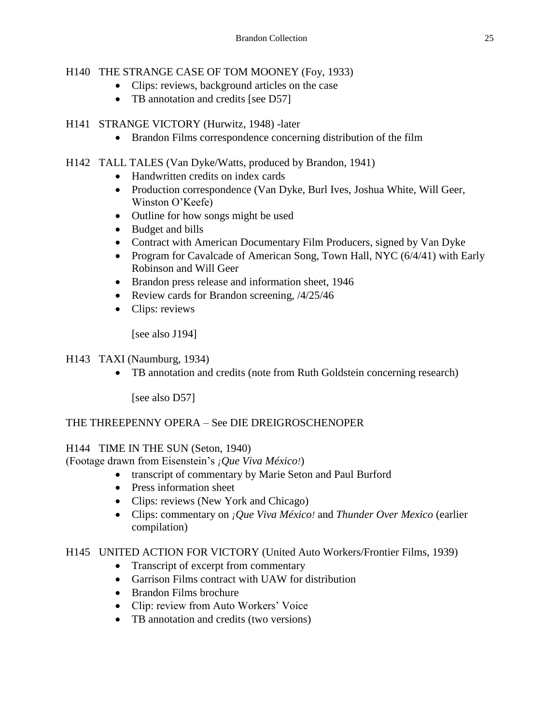## H140 THE STRANGE CASE OF TOM MOONEY (Foy, 1933)

- Clips: reviews, background articles on the case
- TB annotation and credits [see D57]

#### H141 STRANGE VICTORY (Hurwitz, 1948) -later

• Brandon Films correspondence concerning distribution of the film

## H142 TALL TALES (Van Dyke/Watts, produced by Brandon, 1941)

- Handwritten credits on index cards
- Production correspondence (Van Dyke, Burl Ives, Joshua White, Will Geer, Winston O'Keefe)
- Outline for how songs might be used
- Budget and bills
- Contract with American Documentary Film Producers, signed by Van Dyke
- Program for Cavalcade of American Song, Town Hall, NYC (6/4/41) with Early Robinson and Will Geer
- Brandon press release and information sheet, 1946
- Review cards for Brandon screening,  $/4/25/46$
- Clips: reviews

[see also J194]

#### H143 TAXI (Naumburg, 1934)

• TB annotation and credits (note from Ruth Goldstein concerning research)

[see also D57]

#### THE THREEPENNY OPERA – See DIE DREIGROSCHENOPER

#### H144 TIME IN THE SUN (Seton, 1940)

(Footage drawn from Eisenstein's *¡Que Viva México!*)

- transcript of commentary by Marie Seton and Paul Burford
- Press information sheet
- Clips: reviews (New York and Chicago)
- Clips: commentary on *¡Que Viva México!* and *Thunder Over Mexico* (earlier compilation)

#### H145 UNITED ACTION FOR VICTORY (United Auto Workers/Frontier Films, 1939)

- Transcript of excerpt from commentary
- Garrison Films contract with UAW for distribution
- Brandon Films brochure
- Clip: review from Auto Workers' Voice
- TB annotation and credits (two versions)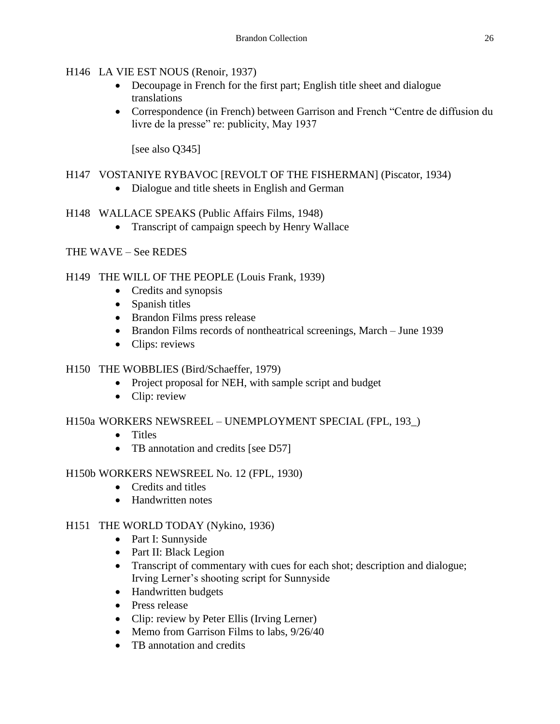## H146 LA VIE EST NOUS (Renoir, 1937)

- Decoupage in French for the first part; English title sheet and dialogue translations
- Correspondence (in French) between Garrison and French "Centre de diffusion du livre de la presse" re: publicity, May 1937

[see also Q345]

## H147 VOSTANIYE RYBAVOC [REVOLT OF THE FISHERMAN] (Piscator, 1934)

• Dialogue and title sheets in English and German

## H148 WALLACE SPEAKS (Public Affairs Films, 1948)

• Transcript of campaign speech by Henry Wallace

## THE WAVE – See REDES

## H149 THE WILL OF THE PEOPLE (Louis Frank, 1939)

- Credits and synopsis
- Spanish titles
- Brandon Films press release
- Brandon Films records of nontheatrical screenings, March June 1939
- Clips: reviews

## H150 THE WOBBLIES (Bird/Schaeffer, 1979)

- Project proposal for NEH, with sample script and budget
- Clip: review

## H150a WORKERS NEWSREEL – UNEMPLOYMENT SPECIAL (FPL, 193\_)

- Titles
- TB annotation and credits [see D57]

#### H150b WORKERS NEWSREEL No. 12 (FPL, 1930)

- Credits and titles
- Handwritten notes

## H151 THE WORLD TODAY (Nykino, 1936)

- Part I: Sunnyside
- Part II: Black Legion
- Transcript of commentary with cues for each shot; description and dialogue; Irving Lerner's shooting script for Sunnyside
- Handwritten budgets
- Press release
- Clip: review by Peter Ellis (Irving Lerner)
- Memo from Garrison Films to labs,  $9/26/40$
- TB annotation and credits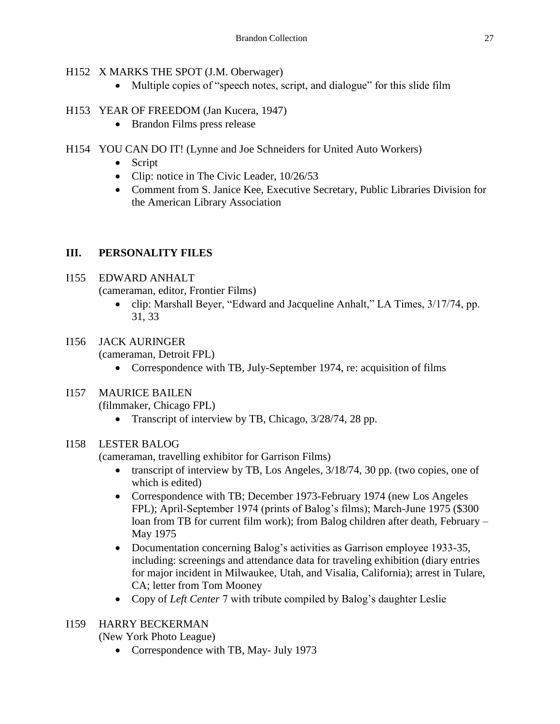#### H152 X MARKS THE SPOT (J.M. Oberwager)

• Multiple copies of "speech notes, script, and dialogue" for this slide film

## H153 YEAR OF FREEDOM (Jan Kucera, 1947)

- Brandon Films press release
- H154 YOU CAN DO IT! (Lynne and Joe Schneiders for United Auto Workers)
	- Script
	- Clip: notice in The Civic Leader, 10/26/53
	- Comment from S. Janice Kee, Executive Secretary, Public Libraries Division for the American Library Association

## **III. PERSONALITY FILES**

## I155 EDWARD ANHALT

(cameraman, editor, Frontier Films)

• clip: Marshall Beyer, "Edward and Jacqueline Anhalt," LA Times,  $3/17/74$ , pp. 31, 33

# I156 JACK AURINGER

(cameraman, Detroit FPL)

• Correspondence with TB, July-September 1974, re: acquisition of films

## I157 MAURICE BAILEN

(filmmaker, Chicago FPL)

• Transcript of interview by TB, Chicago,  $3/28/74$ , 28 pp.

## I158 LESTER BALOG

(cameraman, travelling exhibitor for Garrison Films)

- transcript of interview by TB, Los Angeles,  $3/18/74$ , 30 pp. (two copies, one of which is edited)
- Correspondence with TB; December 1973-February 1974 (new Los Angeles FPL); April-September 1974 (prints of Balog's films); March-June 1975 (\$300 loan from TB for current film work); from Balog children after death, February – May 1975
- Documentation concerning Balog's activities as Garrison employee 1933-35, including: screenings and attendance data for traveling exhibition (diary entries for major incident in Milwaukee, Utah, and Visalia, California); arrest in Tulare, CA; letter from Tom Mooney
- Copy of *Left Center* 7 with tribute compiled by Balog's daughter Leslie

## I159 HARRY BECKERMAN

(New York Photo League)

• Correspondence with TB, May- July 1973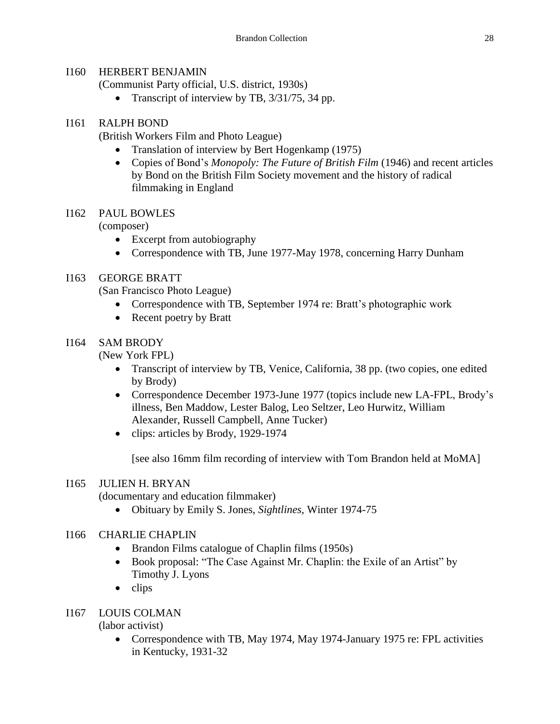#### I160 HERBERT BENJAMIN

(Communist Party official, U.S. district, 1930s)

• Transcript of interview by TB,  $3/31/75$ , 34 pp.

## I161 RALPH BOND

(British Workers Film and Photo League)

- Translation of interview by Bert Hogenkamp (1975)
- Copies of Bond's *Monopoly: The Future of British Film* (1946) and recent articles by Bond on the British Film Society movement and the history of radical filmmaking in England

## I162 PAUL BOWLES

(composer)

- Excerpt from autobiography
- Correspondence with TB, June 1977-May 1978, concerning Harry Dunham

## I163 GEORGE BRATT

(San Francisco Photo League)

- Correspondence with TB, September 1974 re: Bratt's photographic work
- Recent poetry by Bratt

## I164 SAM BRODY

(New York FPL)

- Transcript of interview by TB, Venice, California, 38 pp. (two copies, one edited by Brody)
- Correspondence December 1973-June 1977 (topics include new LA-FPL, Brody's illness, Ben Maddow, Lester Balog, Leo Seltzer, Leo Hurwitz, William Alexander, Russell Campbell, Anne Tucker)
- clips: articles by Brody, 1929-1974

[see also 16mm film recording of interview with Tom Brandon held at MoMA]

## I165 JULIEN H. BRYAN

(documentary and education filmmaker)

Obituary by Emily S. Jones, *Sightlines*, Winter 1974-75

## I166 CHARLIE CHAPLIN

- Brandon Films catalogue of Chaplin films (1950s)
- Book proposal: "The Case Against Mr. Chaplin: the Exile of an Artist" by Timothy J. Lyons
- $\bullet$  clips

## I167 LOUIS COLMAN

(labor activist)

• Correspondence with TB, May 1974, May 1974-January 1975 re: FPL activities in Kentucky, 1931-32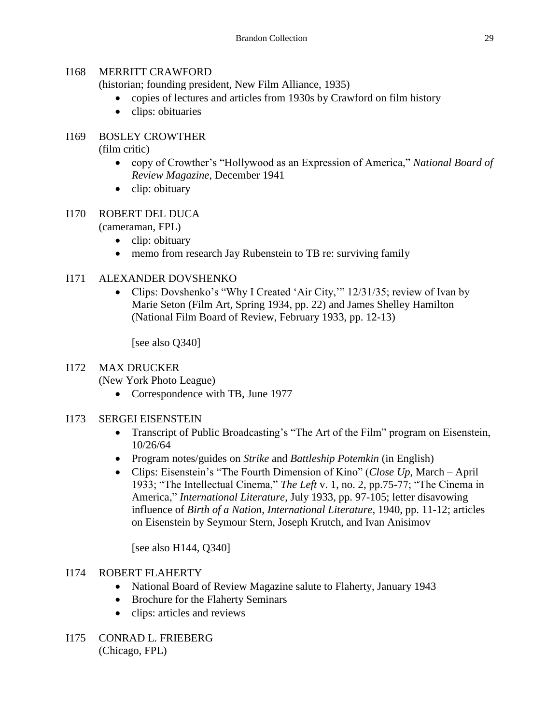#### I168 MERRITT CRAWFORD

(historian; founding president, New Film Alliance, 1935)

- copies of lectures and articles from 1930s by Crawford on film history
- clips: obituaries

## I169 BOSLEY CROWTHER

(film critic)

- copy of Crowther's "Hollywood as an Expression of America," *National Board of Review Magazine*, December 1941
- clip: obituary

## I170 ROBERT DEL DUCA

(cameraman, FPL)

- $\bullet$  clip: obituary
- memo from research Jay Rubenstein to TB re: surviving family

## I171 ALEXANDER DOVSHENKO

• Clips: Dovshenko's "Why I Created 'Air City," 12/31/35; review of Ivan by Marie Seton (Film Art, Spring 1934, pp. 22) and James Shelley Hamilton (National Film Board of Review, February 1933, pp. 12-13)

[see also Q340]

#### I172 MAX DRUCKER

(New York Photo League)

• Correspondence with TB, June 1977

#### I173 SERGEI EISENSTEIN

- Transcript of Public Broadcasting's "The Art of the Film" program on Eisenstein, 10/26/64
- Program notes/guides on *Strike* and *Battleship Potemkin* (in English)
- Clips: Eisenstein's "The Fourth Dimension of Kino" (*Close Up*, March April 1933; "The Intellectual Cinema," *The Left* v. 1, no. 2, pp.75-77; "The Cinema in America," *International Literature*, July 1933, pp. 97-105; letter disavowing influence of *Birth of a Nation*, *International Literature,* 1940, pp. 11-12; articles on Eisenstein by Seymour Stern, Joseph Krutch, and Ivan Anisimov

[see also H144, Q340]

## I174 ROBERT FLAHERTY

- National Board of Review Magazine salute to Flaherty, January 1943
- Brochure for the Flaherty Seminars
- clips: articles and reviews
- I175 CONRAD L. FRIEBERG (Chicago, FPL)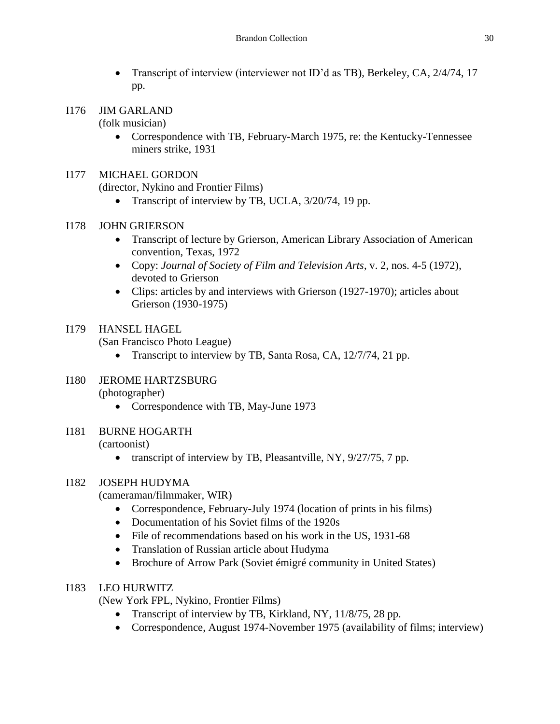- Transcript of interview (interviewer not ID'd as TB), Berkeley, CA, 2/4/74, 17 pp.
- I176 JIM GARLAND

(folk musician)

 Correspondence with TB, February-March 1975, re: the Kentucky-Tennessee miners strike, 1931

#### I177 MICHAEL GORDON

(director, Nykino and Frontier Films)

- Transcript of interview by TB, UCLA,  $3/20/74$ , 19 pp.
- I178 JOHN GRIERSON
	- Transcript of lecture by Grierson, American Library Association of American convention, Texas, 1972
	- Copy: *Journal of Society of Film and Television Arts*, v. 2, nos. 4-5 (1972), devoted to Grierson
	- Clips: articles by and interviews with Grierson (1927-1970); articles about Grierson (1930-1975)

## I179 HANSEL HAGEL

(San Francisco Photo League)

• Transcript to interview by TB, Santa Rosa, CA, 12/7/74, 21 pp.

#### I180 JEROME HARTZSBURG (photographer)

- Correspondence with TB, May-June 1973
- I181 BURNE HOGARTH (cartoonist)
	- transcript of interview by TB, Pleasantville, NY, 9/27/75, 7 pp.

## I182 JOSEPH HUDYMA

(cameraman/filmmaker, WIR)

- Correspondence, February-July 1974 (location of prints in his films)
- Documentation of his Soviet films of the 1920s
- File of recommendations based on his work in the US, 1931-68
- Translation of Russian article about Hudyma
- Brochure of Arrow Park (Soviet émigré community in United States)

#### I183 LEO HURWITZ

(New York FPL, Nykino, Frontier Films)

- Transcript of interview by TB, Kirkland, NY, 11/8/75, 28 pp.
- Correspondence, August 1974-November 1975 (availability of films; interview)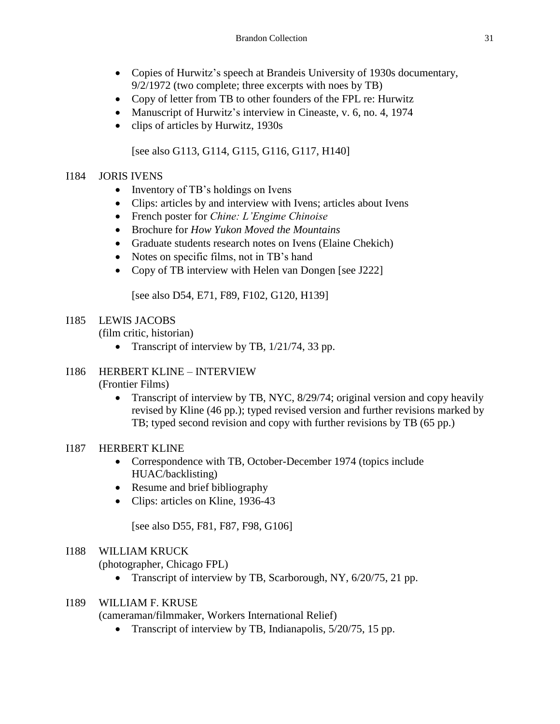- Copies of Hurwitz's speech at Brandeis University of 1930s documentary, 9/2/1972 (two complete; three excerpts with noes by TB)
- Copy of letter from TB to other founders of the FPL re: Hurwitz
- Manuscript of Hurwitz's interview in Cineaste, v. 6, no. 4, 1974
- clips of articles by Hurwitz, 1930s

[see also G113, G114, G115, G116, G117, H140]

#### I184 JORIS IVENS

- Inventory of TB's holdings on Ivens
- Clips: articles by and interview with Ivens; articles about Ivens
- French poster for *Chine: L'Engime Chinoise*
- Brochure for *How Yukon Moved the Mountains*
- Graduate students research notes on Ivens (Elaine Chekich)
- Notes on specific films, not in TB's hand
- Copy of TB interview with Helen van Dongen [see J222]

[see also D54, E71, F89, F102, G120, H139]

#### I185 LEWIS JACOBS

(film critic, historian)

• Transcript of interview by TB,  $1/21/74$ , 33 pp.

#### I186 HERBERT KLINE – INTERVIEW (Frontier Films)

• Transcript of interview by TB, NYC, 8/29/74; original version and copy heavily revised by Kline (46 pp.); typed revised version and further revisions marked by TB; typed second revision and copy with further revisions by TB (65 pp.)

#### I187 HERBERT KLINE

- Correspondence with TB, October-December 1974 (topics include HUAC/backlisting)
- Resume and brief bibliography
- Clips: articles on Kline, 1936-43

[see also D55, F81, F87, F98, G106]

#### I188 WILLIAM KRUCK

(photographer, Chicago FPL)

• Transcript of interview by TB, Scarborough, NY, 6/20/75, 21 pp.

#### I189 WILLIAM F. KRUSE

(cameraman/filmmaker, Workers International Relief)

• Transcript of interview by TB, Indianapolis,  $5/20/75$ , 15 pp.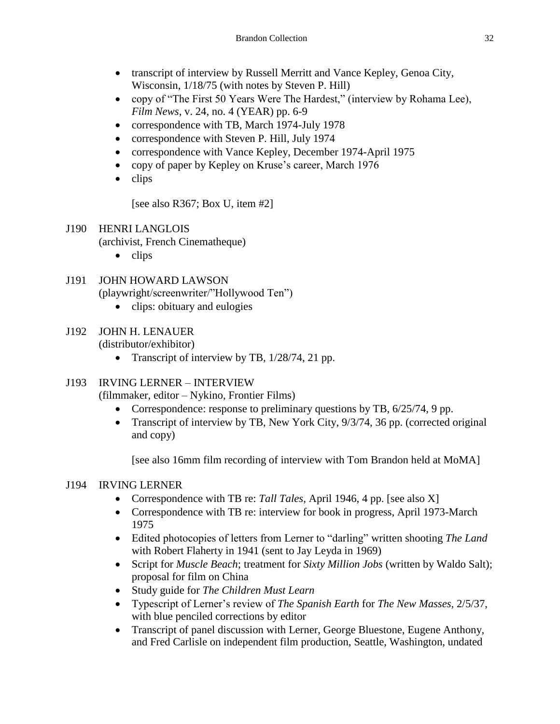- transcript of interview by Russell Merritt and Vance Kepley, Genoa City, Wisconsin, 1/18/75 (with notes by Steven P. Hill)
- copy of "The First 50 Years Were The Hardest," (interview by Rohama Lee), *Film News*, v. 24, no. 4 (YEAR) pp. 6-9
- correspondence with TB, March 1974-July 1978
- correspondence with Steven P. Hill, July 1974
- correspondence with Vance Kepley, December 1974-April 1975
- copy of paper by Kepley on Kruse's career, March 1976
- $\bullet$  clips

[see also R367; Box U, item #2]

- J190 HENRI LANGLOIS (archivist, French Cinematheque)
	- $\bullet$  clips
- J191 JOHN HOWARD LAWSON (playwright/screenwriter/"Hollywood Ten")
	- clips: obituary and eulogies
- J192 JOHN H. LENAUER

(distributor/exhibitor)

• Transcript of interview by TB,  $1/28/74$ , 21 pp.

## J193 IRVING LERNER – INTERVIEW

(filmmaker, editor – Nykino, Frontier Films)

- Correspondence: response to preliminary questions by TB,  $6/25/74$ , 9 pp.
- Transcript of interview by TB, New York City, 9/3/74, 36 pp. (corrected original and copy)

[see also 16mm film recording of interview with Tom Brandon held at MoMA]

## J194 IRVING LERNER

- Correspondence with TB re: *Tall Tales*, April 1946, 4 pp. [see also X]
- Correspondence with TB re: interview for book in progress, April 1973-March 1975
- Edited photocopies of letters from Lerner to "darling" written shooting *The Land* with Robert Flaherty in 1941 (sent to Jay Leyda in 1969)
- Script for *Muscle Beach*; treatment for *Sixty Million Jobs* (written by Waldo Salt); proposal for film on China
- Study guide for *The Children Must Learn*
- Typescript of Lerner's review of *The Spanish Earth* for *The New Masses*, 2/5/37, with blue penciled corrections by editor
- Transcript of panel discussion with Lerner, George Bluestone, Eugene Anthony, and Fred Carlisle on independent film production, Seattle, Washington, undated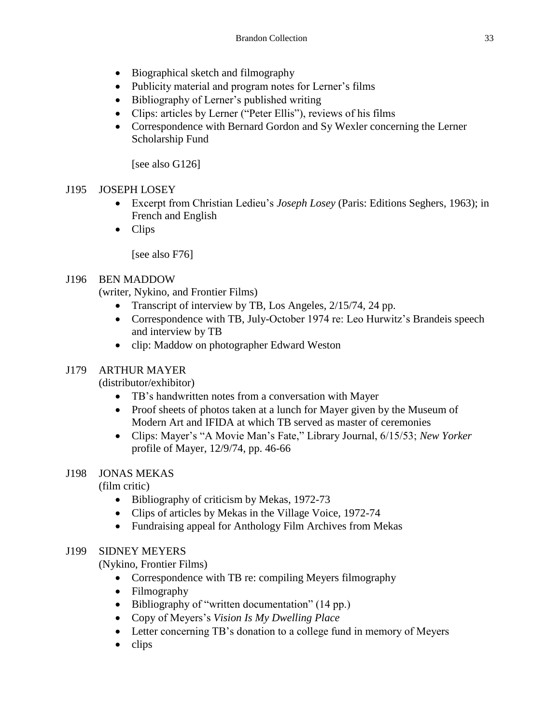- Biographical sketch and filmography
- Publicity material and program notes for Lerner's films
- Bibliography of Lerner's published writing
- Clips: articles by Lerner ("Peter Ellis"), reviews of his films
- Correspondence with Bernard Gordon and Sy Wexler concerning the Lerner Scholarship Fund

[see also G126]

## J195 JOSEPH LOSEY

- Excerpt from Christian Ledieu's *Joseph Losey* (Paris: Editions Seghers, 1963); in French and English
- Clips

[see also F76]

## J196 BEN MADDOW

(writer, Nykino, and Frontier Films)

- Transcript of interview by TB, Los Angeles, 2/15/74, 24 pp.
- Correspondence with TB, July-October 1974 re: Leo Hurwitz's Brandeis speech and interview by TB
- clip: Maddow on photographer Edward Weston

#### J179 ARTHUR MAYER

(distributor/exhibitor)

- TB's handwritten notes from a conversation with Mayer
- Proof sheets of photos taken at a lunch for Mayer given by the Museum of Modern Art and IFIDA at which TB served as master of ceremonies
- Clips: Mayer's "A Movie Man's Fate," Library Journal, 6/15/53; *New Yorker* profile of Mayer, 12/9/74, pp. 46-66

#### J198 JONAS MEKAS

(film critic)

- Bibliography of criticism by Mekas, 1972-73
- Clips of articles by Mekas in the Village Voice, 1972-74
- Fundraising appeal for Anthology Film Archives from Mekas

#### J199 SIDNEY MEYERS

(Nykino, Frontier Films)

- Correspondence with TB re: compiling Meyers filmography
- Filmography
- Bibliography of "written documentation" (14 pp.)
- Copy of Meyers's *Vision Is My Dwelling Place*
- Letter concerning TB's donation to a college fund in memory of Meyers
- $\bullet$  clips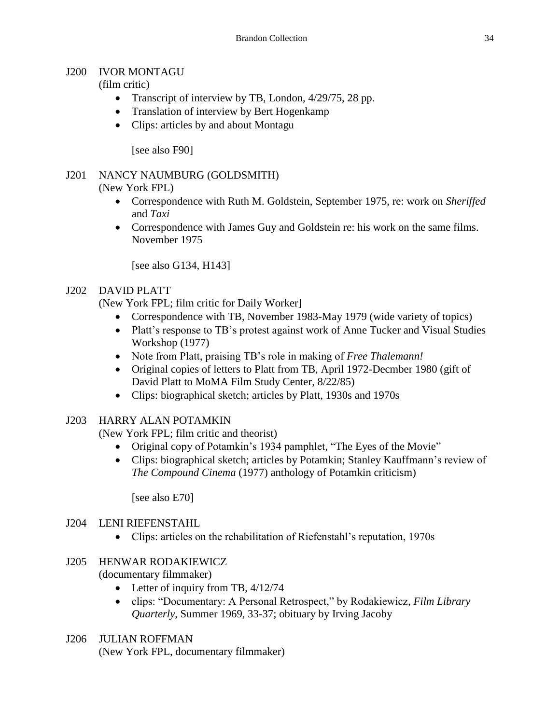#### J200 IVOR MONTAGU

## (film critic)

- Transcript of interview by TB, London,  $4/29/75$ , 28 pp.
- Translation of interview by Bert Hogenkamp
- Clips: articles by and about Montagu

[see also F90]

# J201 NANCY NAUMBURG (GOLDSMITH)

(New York FPL)

- Correspondence with Ruth M. Goldstein, September 1975, re: work on *Sheriffed*  and *Taxi*
- Correspondence with James Guy and Goldstein re: his work on the same films. November 1975

[see also G134, H143]

## J202 DAVID PLATT

(New York FPL; film critic for Daily Worker]

- Correspondence with TB, November 1983-May 1979 (wide variety of topics)
- Platt's response to TB's protest against work of Anne Tucker and Visual Studies Workshop (1977)
- Note from Platt, praising TB's role in making of *Free Thalemann!*
- Original copies of letters to Platt from TB, April 1972-Decmber 1980 (gift of David Platt to MoMA Film Study Center, 8/22/85)
- Clips: biographical sketch; articles by Platt, 1930s and 1970s

## J203 HARRY ALAN POTAMKIN

(New York FPL; film critic and theorist)

- Original copy of Potamkin's 1934 pamphlet, "The Eyes of the Movie"
- Clips: biographical sketch; articles by Potamkin; Stanley Kauffmann's review of *The Compound Cinema* (1977) anthology of Potamkin criticism)

[see also E70]

## J204 LENI RIEFENSTAHL

Clips: articles on the rehabilitation of Riefenstahl's reputation, 1970s

# J205 HENWAR RODAKIEWICZ

(documentary filmmaker)

- Letter of inquiry from TB,  $4/12/74$
- clips: "Documentary: A Personal Retrospect," by Rodakiewicz*, Film Library Quarterly*, Summer 1969, 33-37; obituary by Irving Jacoby
- J206 JULIAN ROFFMAN

(New York FPL, documentary filmmaker)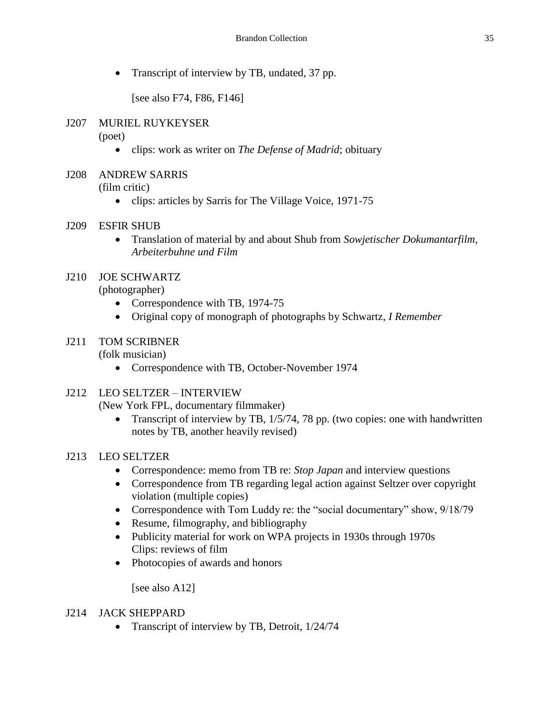• Transcript of interview by TB, undated, 37 pp.

[see also F74, F86, F146]

## J207 MURIEL RUYKEYSER

(poet)

clips: work as writer on *The Defense of Madrid*; obituary

# J208 ANDREW SARRIS

(film critic)

• clips: articles by Sarris for The Village Voice, 1971-75

## J209 ESFIR SHUB

 Translation of material by and about Shub from *Sowjetischer Dokumantarfilm, Arbeiterbuhne und Film*

# J210 JOE SCHWARTZ

(photographer)

- Correspondence with TB, 1974-75
- Original copy of monograph of photographs by Schwartz, *I Remember*

#### J211 TOM SCRIBNER (folk musician)

Correspondence with TB, October-November 1974

## J212 LEO SELTZER – INTERVIEW

(New York FPL, documentary filmmaker)

• Transcript of interview by TB, 1/5/74, 78 pp. (two copies: one with handwritten notes by TB, another heavily revised)

## J213 LEO SELTZER

- Correspondence: memo from TB re: *Stop Japan* and interview questions
- Correspondence from TB regarding legal action against Seltzer over copyright violation (multiple copies)
- Correspondence with Tom Luddy re: the "social documentary" show, 9/18/79
- Resume, filmography, and bibliography
- Publicity material for work on WPA projects in 1930s through 1970s Clips: reviews of film
- Photocopies of awards and honors

[see also A12]

## J214 JACK SHEPPARD

• Transcript of interview by TB, Detroit,  $1/24/74$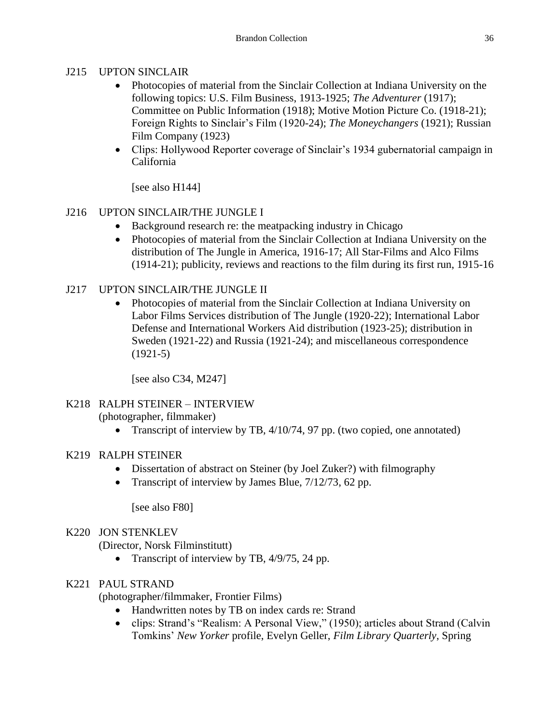## J215 UPTON SINCLAIR

- Photocopies of material from the Sinclair Collection at Indiana University on the following topics: U.S. Film Business, 1913-1925; *The Adventurer* (1917); Committee on Public Information (1918); Motive Motion Picture Co. (1918-21); Foreign Rights to Sinclair's Film (1920-24); *The Moneychangers* (1921); Russian Film Company (1923)
- Clips: Hollywood Reporter coverage of Sinclair's 1934 gubernatorial campaign in California

[see also H144]

# J216 UPTON SINCLAIR/THE JUNGLE I

- Background research re: the meatpacking industry in Chicago
- Photocopies of material from the Sinclair Collection at Indiana University on the distribution of The Jungle in America, 1916-17; All Star-Films and Alco Films (1914-21); publicity, reviews and reactions to the film during its first run, 1915-16

# J217 UPTON SINCLAIR/THE JUNGLE II

 Photocopies of material from the Sinclair Collection at Indiana University on Labor Films Services distribution of The Jungle (1920-22); International Labor Defense and International Workers Aid distribution (1923-25); distribution in Sweden (1921-22) and Russia (1921-24); and miscellaneous correspondence (1921-5)

[see also C34, M247]

#### K218 RALPH STEINER – INTERVIEW (photographer, filmmaker)

• Transcript of interview by TB, 4/10/74, 97 pp. (two copied, one annotated)

## K219 RALPH STEINER

- Dissertation of abstract on Steiner (by Joel Zuker?) with filmography
- Transcript of interview by James Blue,  $7/12/73$ , 62 pp.

[see also F80]

## K220 JON STENKLEV

(Director, Norsk Filminstitutt)

• Transcript of interview by TB,  $4/9/75$ , 24 pp.

## K221 PAUL STRAND

(photographer/filmmaker, Frontier Films)

- Handwritten notes by TB on index cards re: Strand
- clips: Strand's "Realism: A Personal View," (1950); articles about Strand (Calvin Tomkins' *New Yorker* profile, Evelyn Geller, *Film Library Quarterly*, Spring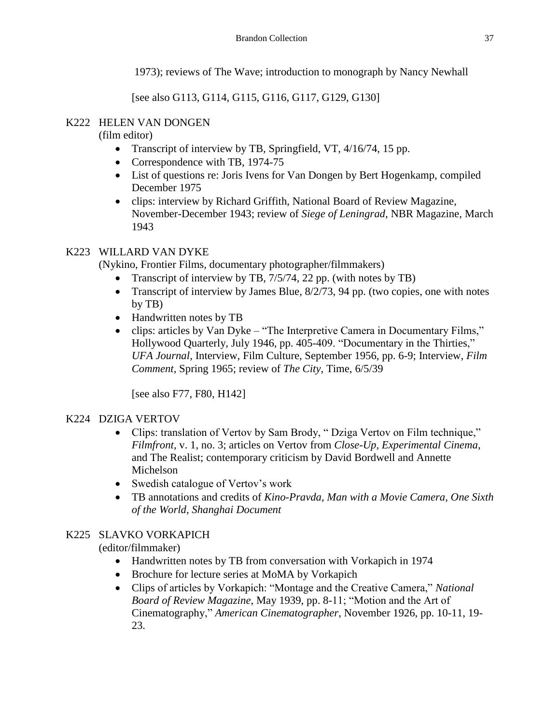1973); reviews of The Wave; introduction to monograph by Nancy Newhall

[see also G113, G114, G115, G116, G117, G129, G130]

# K222 HELEN VAN DONGEN

(film editor)

- Transcript of interview by TB, Springfield, VT, 4/16/74, 15 pp.
- Correspondence with TB, 1974-75
- List of questions re: Joris Ivens for Van Dongen by Bert Hogenkamp, compiled December 1975
- clips: interview by Richard Griffith, National Board of Review Magazine, November-December 1943; review of *Siege of Leningrad*, NBR Magazine, March 1943

# K223 WILLARD VAN DYKE

(Nykino, Frontier Films, documentary photographer/filmmakers)

- Transcript of interview by TB, 7/5/74, 22 pp. (with notes by TB)
- Transcript of interview by James Blue,  $8/2/73$ , 94 pp. (two copies, one with notes by TB)
- Handwritten notes by TB
- clips: articles by Van Dyke "The Interpretive Camera in Documentary Films," Hollywood Quarterly, July 1946, pp. 405-409. "Documentary in the Thirties," *UFA Journal*, Interview, Film Culture, September 1956, pp. 6-9; Interview, *Film Comment*, Spring 1965; review of *The City*, Time, 6/5/39

[see also F77, F80, H142]

## K224 DZIGA VERTOV

- Clips: translation of Vertov by Sam Brody, "Dziga Vertov on Film technique," *Filmfront*, v. 1, no. 3; articles on Vertov from *Close-Up, Experimental Cinema*, and The Realist; contemporary criticism by David Bordwell and Annette Michelson
- Swedish catalogue of Vertov's work
- TB annotations and credits of *Kino-Pravda, Man with a Movie Camera, One Sixth of the World, Shanghai Document*

# K225 SLAVKO VORKAPICH

(editor/filmmaker)

- Handwritten notes by TB from conversation with Vorkapich in 1974
- Brochure for lecture series at MoMA by Vorkapich
- Clips of articles by Vorkapich: "Montage and the Creative Camera," *National Board of Review Magazine*, May 1939, pp. 8-11; "Motion and the Art of Cinematography," *American Cinematographer*, November 1926, pp. 10-11, 19- 23.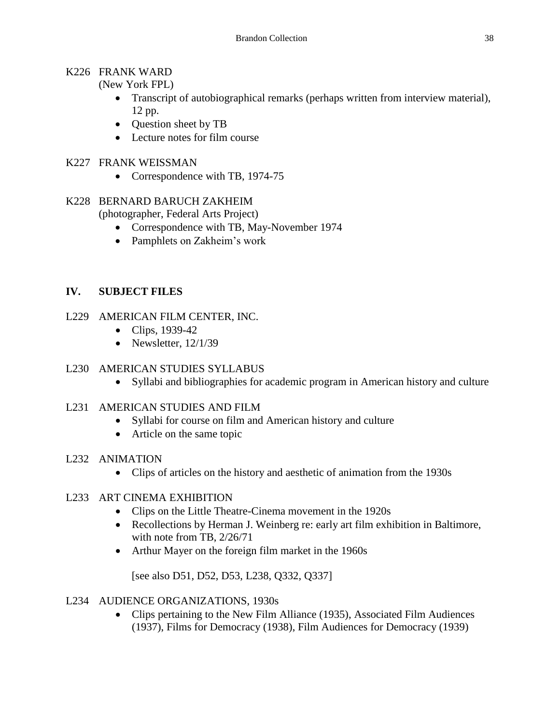#### K226 FRANK WARD

(New York FPL)

- Transcript of autobiographical remarks (perhaps written from interview material), 12 pp.
- Question sheet by TB
- Lecture notes for film course

## K227 FRANK WEISSMAN

- Correspondence with TB, 1974-75
- K228 BERNARD BARUCH ZAKHEIM (photographer, Federal Arts Project)
	- Correspondence with TB, May-November 1974
	- Pamphlets on Zakheim's work

## **IV. SUBJECT FILES**

- L229 AMERICAN FILM CENTER, INC.
	- Clips, 1939-42
	- Newsletter,  $12/1/39$

## L230 AMERICAN STUDIES SYLLABUS

Syllabi and bibliographies for academic program in American history and culture

#### L231 AMERICAN STUDIES AND FILM

- Syllabi for course on film and American history and culture
- Article on the same topic
- L232 ANIMATION
	- Clips of articles on the history and aesthetic of animation from the 1930s

#### L233 ART CINEMA EXHIBITION

- Clips on the Little Theatre-Cinema movement in the 1920s
- Recollections by Herman J. Weinberg re: early art film exhibition in Baltimore, with note from TB, 2/26/71
- Arthur Mayer on the foreign film market in the 1960s

[see also D51, D52, D53, L238, Q332, Q337]

#### L234 AUDIENCE ORGANIZATIONS, 1930s

• Clips pertaining to the New Film Alliance (1935), Associated Film Audiences (1937), Films for Democracy (1938), Film Audiences for Democracy (1939)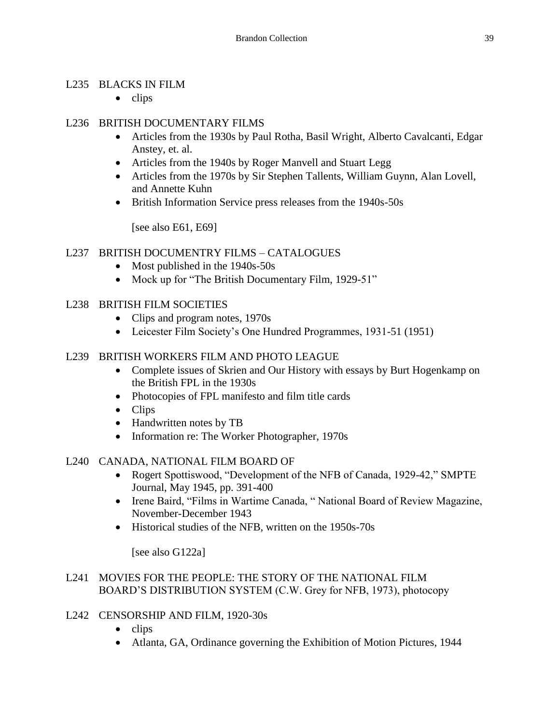## L235 BLACKS IN FILM

 $\bullet$  clips

## L236 BRITISH DOCUMENTARY FILMS

- Articles from the 1930s by Paul Rotha, Basil Wright, Alberto Cavalcanti, Edgar Anstey, et. al.
- Articles from the 1940s by Roger Manvell and Stuart Legg
- Articles from the 1970s by Sir Stephen Tallents, William Guynn, Alan Lovell, and Annette Kuhn
- British Information Service press releases from the 1940s-50s

[see also E61, E69]

## L237 BRITISH DOCUMENTRY FILMS – CATALOGUES

- Most published in the 1940s-50s
- Mock up for "The British Documentary Film, 1929-51"

## L238 BRITISH FILM SOCIETIES

- Clips and program notes, 1970s
- Leicester Film Society's One Hundred Programmes, 1931-51 (1951)

#### L239 BRITISH WORKERS FILM AND PHOTO LEAGUE

- Complete issues of Skrien and Our History with essays by Burt Hogenkamp on the British FPL in the 1930s
- Photocopies of FPL manifesto and film title cards
- Clips
- Handwritten notes by TB
- Information re: The Worker Photographer, 1970s

#### L240 CANADA, NATIONAL FILM BOARD OF

- Rogert Spottiswood, "Development of the NFB of Canada, 1929-42," SMPTE Journal, May 1945, pp. 391-400
- Irene Baird, "Films in Wartime Canada, " National Board of Review Magazine, November-December 1943
- Historical studies of the NFB, written on the 1950s-70s

[see also G122a]

#### L241 MOVIES FOR THE PEOPLE: THE STORY OF THE NATIONAL FILM BOARD'S DISTRIBUTION SYSTEM (C.W. Grey for NFB, 1973), photocopy

- L242 CENSORSHIP AND FILM, 1920-30s
	- $\bullet$  clips
	- Atlanta, GA, Ordinance governing the Exhibition of Motion Pictures, 1944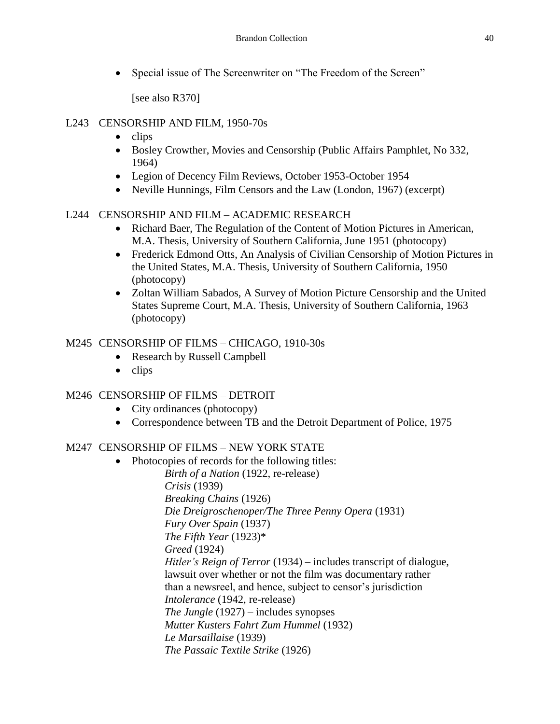• Special issue of The Screenwriter on "The Freedom of the Screen"

[see also R370]

## L243 CENSORSHIP AND FILM, 1950-70s

- $\bullet$  clips
- Bosley Crowther, Movies and Censorship (Public Affairs Pamphlet, No 332, 1964)
- Legion of Decency Film Reviews, October 1953-October 1954
- Neville Hunnings, Film Censors and the Law (London, 1967) (excerpt)

# L244 CENSORSHIP AND FILM – ACADEMIC RESEARCH

- Richard Baer, The Regulation of the Content of Motion Pictures in American, M.A. Thesis, University of Southern California, June 1951 (photocopy)
- Frederick Edmond Otts, An Analysis of Civilian Censorship of Motion Pictures in the United States, M.A. Thesis, University of Southern California, 1950 (photocopy)
- Zoltan William Sabados, A Survey of Motion Picture Censorship and the United States Supreme Court, M.A. Thesis, University of Southern California, 1963 (photocopy)

# M245 CENSORSHIP OF FILMS – CHICAGO, 1910-30s

- Research by Russell Campbell
- $\bullet$  clips

# M246 CENSORSHIP OF FILMS – DETROIT

- City ordinances (photocopy)
- Correspondence between TB and the Detroit Department of Police, 1975

# M247 CENSORSHIP OF FILMS – NEW YORK STATE

• Photocopies of records for the following titles: *Birth of a Nation* (1922, re-release) *Crisis* (1939) *Breaking Chains* (1926) *Die Dreigroschenoper/The Three Penny Opera* (1931) *Fury Over Spain* (1937) *The Fifth Year* (1923)\* *Greed* (1924) *Hitler's Reign of Terror* (1934) – includes transcript of dialogue, lawsuit over whether or not the film was documentary rather than a newsreel, and hence, subject to censor's jurisdiction *Intolerance* (1942, re-release) *The Jungle* (1927) – includes synopses *Mutter Kusters Fahrt Zum Hummel* (1932) *Le Marsaillaise* (1939) *The Passaic Textile Strike* (1926)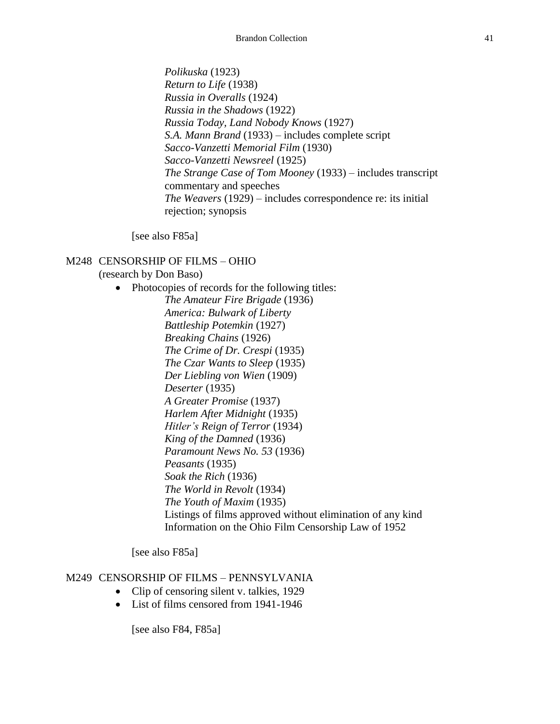*Polikuska* (1923) *Return to Life* (1938) *Russia in Overalls* (1924) *Russia in the Shadows* (1922) *Russia Today, Land Nobody Knows* (1927) *S.A. Mann Brand* (1933) – includes complete script *Sacco-Vanzetti Memorial Film* (1930) *Sacco-Vanzetti Newsreel* (1925) *The Strange Case of Tom Mooney* (1933) – includes transcript commentary and speeches *The Weavers* (1929) – includes correspondence re: its initial rejection; synopsis

[see also F85a]

#### M248 CENSORSHIP OF FILMS – OHIO

(research by Don Baso)

• Photocopies of records for the following titles: *The Amateur Fire Brigade* (1936) *America: Bulwark of Liberty Battleship Potemkin* (1927) *Breaking Chains* (1926) *The Crime of Dr. Crespi* (1935) *The Czar Wants to Sleep* (1935) *Der Liebling von Wien* (1909) *Deserter* (1935) *A Greater Promise* (1937) *Harlem After Midnight* (1935) *Hitler's Reign of Terror* (1934) *King of the Damned* (1936) *Paramount News No. 53* (1936) *Peasants* (1935) *Soak the Rich* (1936) *The World in Revolt* (1934) *The Youth of Maxim* (1935) Listings of films approved without elimination of any kind Information on the Ohio Film Censorship Law of 1952

[see also F85a]

#### M249 CENSORSHIP OF FILMS – PENNSYLVANIA

- Clip of censoring silent v. talkies, 1929
- List of films censored from 1941-1946

[see also F84, F85a]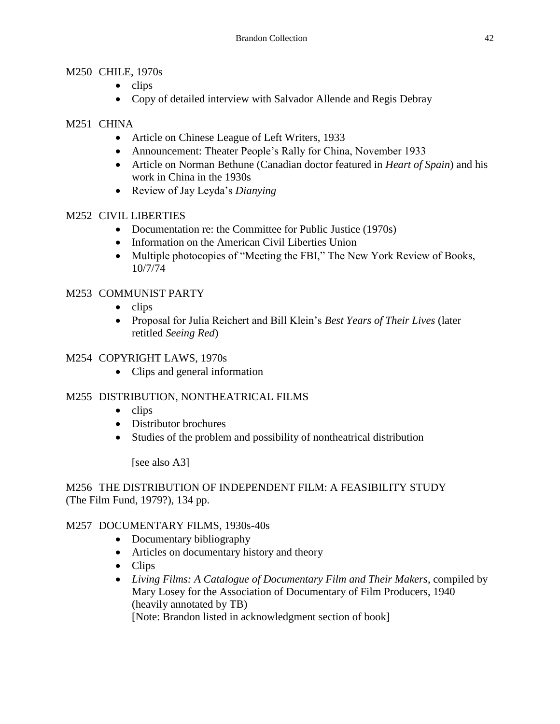## M250 CHILE, 1970s

- $\bullet$  clips
- Copy of detailed interview with Salvador Allende and Regis Debray

## M251 CHINA

- Article on Chinese League of Left Writers, 1933
- Announcement: Theater People's Rally for China, November 1933
- Article on Norman Bethune (Canadian doctor featured in *Heart of Spain*) and his work in China in the 1930s
- Review of Jay Leyda's *Dianying*

# M252 CIVIL LIBERTIES

- Documentation re: the Committee for Public Justice (1970s)
- Information on the American Civil Liberties Union
- Multiple photocopies of "Meeting the FBI," The New York Review of Books, 10/7/74

# M253 COMMUNIST PARTY

- $\bullet$  clips
- Proposal for Julia Reichert and Bill Klein's *Best Years of Their Lives* (later retitled *Seeing Red*)

## M254 COPYRIGHT LAWS, 1970s

• Clips and general information

# M255 DISTRIBUTION, NONTHEATRICAL FILMS

- $\bullet$  clips
- Distributor brochures
- Studies of the problem and possibility of nontheatrical distribution

[see also A3]

M256 THE DISTRIBUTION OF INDEPENDENT FILM: A FEASIBILITY STUDY (The Film Fund, 1979?), 134 pp.

# M257 DOCUMENTARY FILMS, 1930s-40s

- Documentary bibliography
- Articles on documentary history and theory
- Clips
- *Living Films: A Catalogue of Documentary Film and Their Makers*, compiled by Mary Losey for the Association of Documentary of Film Producers, 1940 (heavily annotated by TB) [Note: Brandon listed in acknowledgment section of book]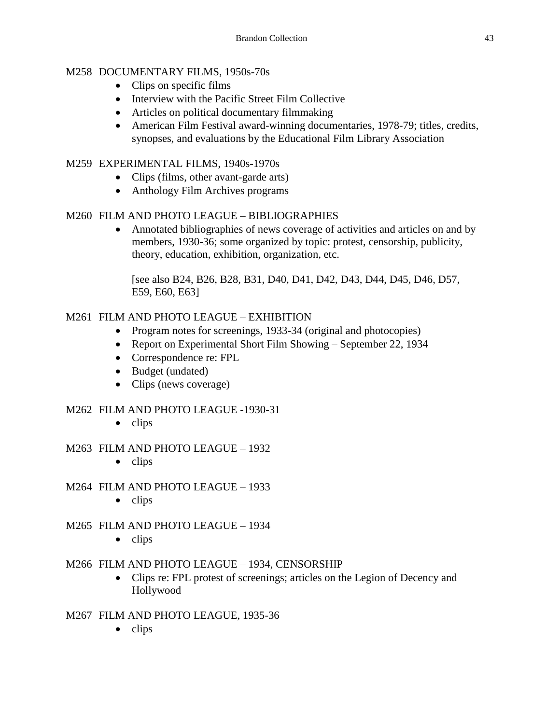## M258 DOCUMENTARY FILMS, 1950s-70s

- Clips on specific films
- Interview with the Pacific Street Film Collective
- Articles on political documentary filmmaking
- American Film Festival award-winning documentaries, 1978-79; titles, credits, synopses, and evaluations by the Educational Film Library Association

## M259 EXPERIMENTAL FILMS, 1940s-1970s

- Clips (films, other avant-garde arts)
- Anthology Film Archives programs

## M260 FILM AND PHOTO LEAGUE – BIBLIOGRAPHIES

 Annotated bibliographies of news coverage of activities and articles on and by members, 1930-36; some organized by topic: protest, censorship, publicity, theory, education, exhibition, organization, etc.

[see also B24, B26, B28, B31, D40, D41, D42, D43, D44, D45, D46, D57, E59, E60, E63]

## M261 FILM AND PHOTO LEAGUE – EXHIBITION

- Program notes for screenings, 1933-34 (original and photocopies)
- Report on Experimental Short Film Showing September 22, 1934
- Correspondence re: FPL
- Budget (undated)
- Clips (news coverage)

## M262 FILM AND PHOTO LEAGUE -1930-31

 $\bullet$  clips

## M263 FILM AND PHOTO LEAGUE – 1932

 $\bullet$  clips

## M264 FILM AND PHOTO LEAGUE – 1933

 $\bullet$  clips

## M265 FILM AND PHOTO LEAGUE – 1934

 $\bullet$  clips

## M266 FILM AND PHOTO LEAGUE – 1934, CENSORSHIP

 Clips re: FPL protest of screenings; articles on the Legion of Decency and Hollywood

## M267 FILM AND PHOTO LEAGUE, 1935-36

 $\bullet$  clips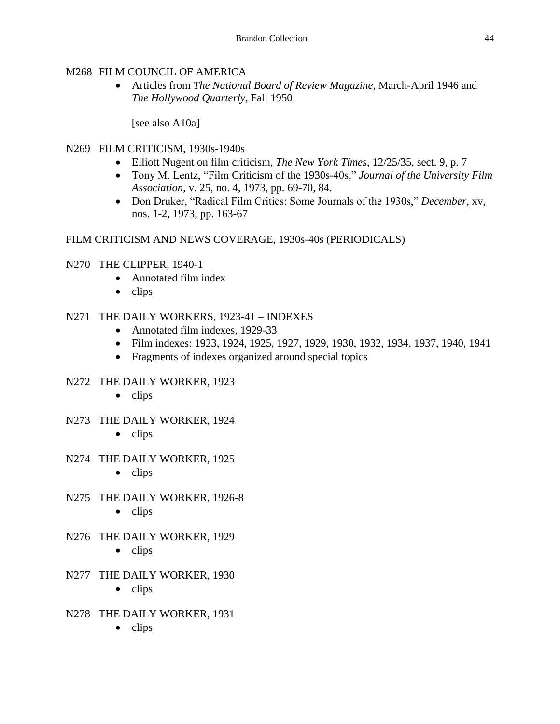# M268 FILM COUNCIL OF AMERICA

 Articles from *The National Board of Review Magazine*, March-April 1946 and *The Hollywood Quarterly*, Fall 1950

[see also A10a]

# N269 FILM CRITICISM, 1930s-1940s

- Elliott Nugent on film criticism, *The New York Times*, 12/25/35, sect. 9, p. 7
- Tony M. Lentz, "Film Criticism of the 1930s-40s," *Journal of the University Film Association*, v. 25, no. 4, 1973, pp. 69-70, 84.
- Don Druker, "Radical Film Critics: Some Journals of the 1930s," *December*, xv, nos. 1-2, 1973, pp. 163-67

# FILM CRITICISM AND NEWS COVERAGE, 1930s-40s (PERIODICALS)

# N270 THE CLIPPER, 1940-1

- Annotated film index
- $\bullet$  clips

# N271 THE DAILY WORKERS, 1923-41 – INDEXES

- Annotated film indexes, 1929-33
- Film indexes: 1923, 1924, 1925, 1927, 1929, 1930, 1932, 1934, 1937, 1940, 1941
- Fragments of indexes organized around special topics

# N272 THE DAILY WORKER, 1923

- $\bullet$  clips
- N273 THE DAILY WORKER, 1924
	- $\bullet$  clips
- N274 THE DAILY WORKER, 1925
	- $\bullet$  clips
- N275 THE DAILY WORKER, 1926-8
	- $\bullet$  clips
- N276 THE DAILY WORKER, 1929
	- $\bullet$  clips
- N277 THE DAILY WORKER, 1930
	- $\bullet$  clips
- N278 THE DAILY WORKER, 1931
	- $\bullet$  clips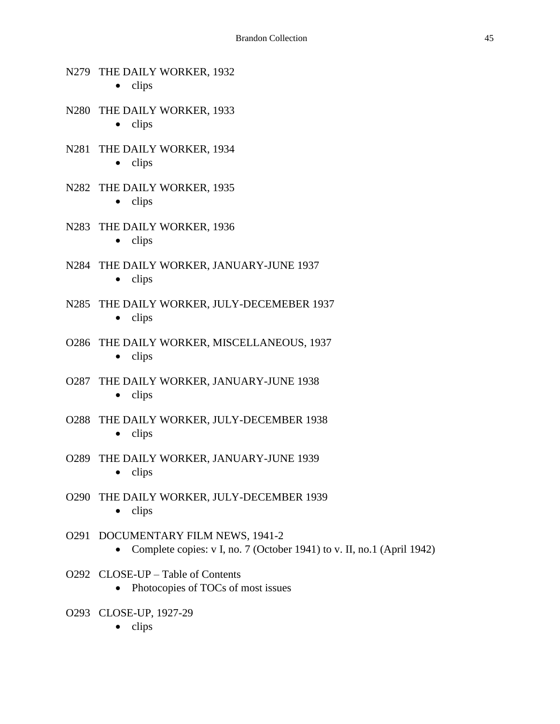# N279 THE DAILY WORKER, 1932  $\bullet$  clips N280 THE DAILY WORKER, 1933  $\bullet$  clips N281 THE DAILY WORKER, 1934  $\bullet$  clips N282 THE DAILY WORKER, 1935  $\bullet$  clips N283 THE DAILY WORKER, 1936  $\bullet$  clips N284 THE DAILY WORKER, JANUARY-JUNE 1937  $\bullet$  clips N285 THE DAILY WORKER, JULY-DECEMEBER 1937  $\bullet$  clips O286 THE DAILY WORKER, MISCELLANEOUS, 1937  $\bullet$  clips O287 THE DAILY WORKER, JANUARY-JUNE 1938  $\bullet$  clips O288 THE DAILY WORKER, JULY-DECEMBER 1938  $\bullet$  clips O289 THE DAILY WORKER, JANUARY-JUNE 1939  $\bullet$  clips O290 THE DAILY WORKER, JULY-DECEMBER 1939  $\bullet$  clips O291 DOCUMENTARY FILM NEWS, 1941-2 • Complete copies: v I, no. 7 (October 1941) to v. II, no. 1 (April 1942) O292 CLOSE-UP – Table of Contents • Photocopies of TOCs of most issues

- O293 CLOSE-UP, 1927-29
	- $\bullet$  clips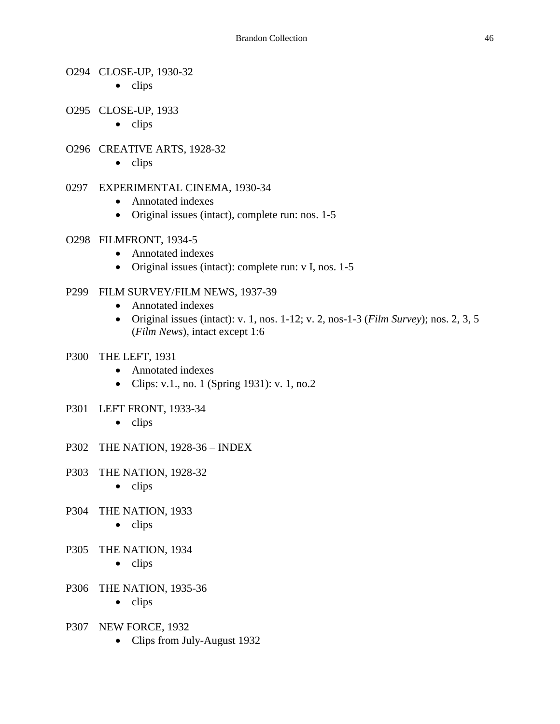#### O294 CLOSE-UP, 1930-32

- $\bullet$  clips
- O295 CLOSE-UP, 1933
	- $\bullet$  clips

#### O296 CREATIVE ARTS, 1928-32

 $\bullet$  clips

#### 0297 EXPERIMENTAL CINEMA, 1930-34

- Annotated indexes
- Original issues (intact), complete run: nos. 1-5

#### O298 FILMFRONT, 1934-5

- Annotated indexes
- Original issues (intact): complete run: v I, nos. 1-5

#### P299 FILM SURVEY/FILM NEWS, 1937-39

- Annotated indexes
- Original issues (intact): v. 1, nos. 1-12; v. 2, nos-1-3 (*Film Survey*); nos. 2, 3, 5 (*Film News*), intact except 1:6

#### P300 THE LEFT, 1931

- Annotated indexes
- Clips: v.1., no. 1 (Spring 1931): v. 1, no. 2
- P301 LEFT FRONT, 1933-34
	- $\bullet$  clips
- P302 THE NATION, 1928-36 INDEX
- P303 THE NATION, 1928-32
	- $\bullet$  clips
- P304 THE NATION, 1933
	- $\bullet$  clips
- P305 THE NATION, 1934
	- $\bullet$  clips
- P306 THE NATION, 1935-36
	- $\bullet$  clips
- P307 NEW FORCE, 1932
	- Clips from July-August 1932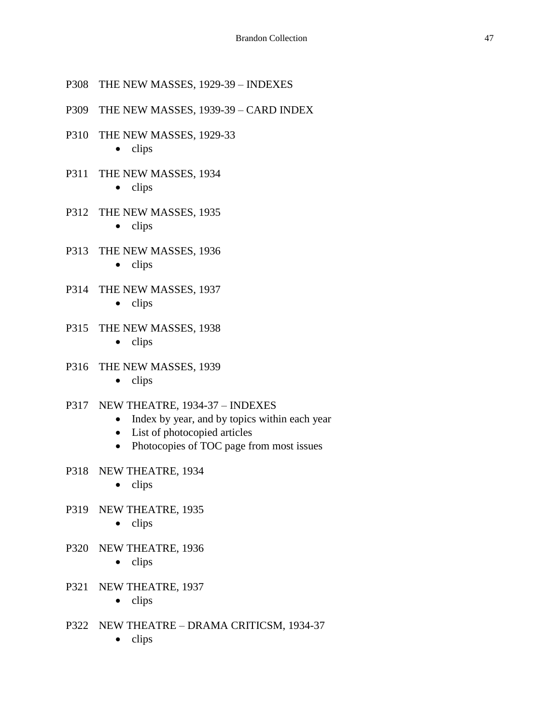- P308 THE NEW MASSES, 1929-39 INDEXES
- P309 THE NEW MASSES, 1939-39 CARD INDEX
- P310 THE NEW MASSES, 1929-33
	- $\bullet$  clips
- P311 THE NEW MASSES, 1934
	- $\bullet$  clips
- P312 THE NEW MASSES, 1935
	- $\bullet$  clips
- P313 THE NEW MASSES, 1936
	- $\bullet$  clips
- P314 THE NEW MASSES, 1937
	- $\bullet$  clips
- P315 THE NEW MASSES, 1938
	- $\bullet$  clips
- P316 THE NEW MASSES, 1939
	- $\bullet$  clips
- P317 NEW THEATRE, 1934-37 INDEXES
	- Index by year, and by topics within each year
	- List of photocopied articles
	- Photocopies of TOC page from most issues
- P318 NEW THEATRE, 1934
	- $\bullet$  clips
- P319 NEW THEATRE, 1935
	- $\bullet$  clips
- P320 NEW THEATRE, 1936
	- $\bullet$  clips
- P321 NEW THEATRE, 1937
	- $\bullet$  clips
- P322 NEW THEATRE DRAMA CRITICSM, 1934-37
	- $\bullet$  clips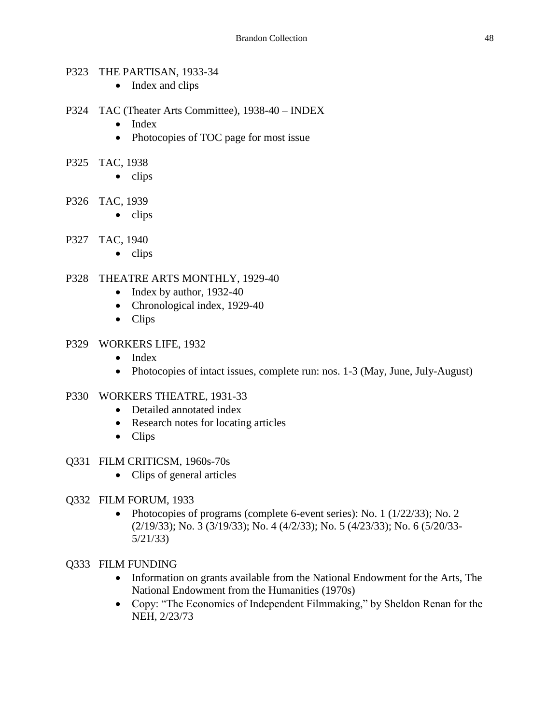#### P323 THE PARTISAN, 1933-34

- Index and clips
- P324 TAC (Theater Arts Committee), 1938-40 INDEX
	- $\bullet$  Index
	- Photocopies of TOC page for most issue
- P325 TAC, 1938
	- $\bullet$  clips
- P326 TAC, 1939
	- $\bullet$  clips
- P327 TAC, 1940
	- $\bullet$  clips

#### P328 THEATRE ARTS MONTHLY, 1929-40

- $\bullet$  Index by author, 1932-40
- Chronological index, 1929-40
- Clips

#### P329 WORKERS LIFE, 1932

- Index
- Photocopies of intact issues, complete run: nos. 1-3 (May, June, July-August)

#### P330 WORKERS THEATRE, 1931-33

- Detailed annotated index
- Research notes for locating articles
- Clips

#### Q331 FILM CRITICSM, 1960s-70s

• Clips of general articles

#### Q332 FILM FORUM, 1933

• Photocopies of programs (complete 6-event series): No. 1 ( $1/22/33$ ); No. 2 (2/19/33); No. 3 (3/19/33); No. 4 (4/2/33); No. 5 (4/23/33); No. 6 (5/20/33- 5/21/33)

#### Q333 FILM FUNDING

- Information on grants available from the National Endowment for the Arts, The National Endowment from the Humanities (1970s)
- Copy: "The Economics of Independent Filmmaking," by Sheldon Renan for the NEH, 2/23/73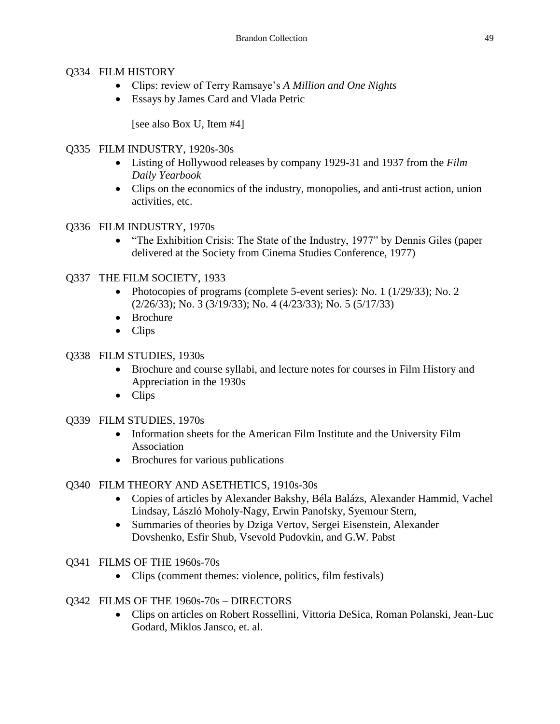## Q334 FILM HISTORY

- Clips: review of Terry Ramsaye's *A Million and One Nights*
- Essays by James Card and Vlada Petric

[see also Box U, Item #4]

## Q335 FILM INDUSTRY, 1920s-30s

- Listing of Hollywood releases by company 1929-31 and 1937 from the *Film Daily Yearbook*
- Clips on the economics of the industry, monopolies, and anti-trust action, union activities, etc.
- Q336 FILM INDUSTRY, 1970s
	- "The Exhibition Crisis: The State of the Industry, 1977" by Dennis Giles (paper delivered at the Society from Cinema Studies Conference, 1977)

## Q337 THE FILM SOCIETY, 1933

- Photocopies of programs (complete 5-event series): No. 1 (1/29/33); No. 2 (2/26/33); No. 3 (3/19/33); No. 4 (4/23/33); No. 5 (5/17/33)
- Brochure
- Clips

# Q338 FILM STUDIES, 1930s

- Brochure and course syllabi, and lecture notes for courses in Film History and Appreciation in the 1930s
- Clips

## Q339 FILM STUDIES, 1970s

- Information sheets for the American Film Institute and the University Film Association
- Brochures for various publications

# Q340 FILM THEORY AND ASETHETICS, 1910s-30s

- Copies of articles by Alexander Bakshy, Béla Balázs, Alexander Hammid, Vachel Lindsay, László Moholy-Nagy, Erwin Panofsky, Syemour Stern,
- Summaries of theories by Dziga Vertov, Sergei Eisenstein, Alexander Dovshenko, Esfir Shub, Vsevold Pudovkin, and G.W. Pabst
- Q341 FILMS OF THE 1960s-70s
	- Clips (comment themes: violence, politics, film festivals)
- Q342 FILMS OF THE 1960s-70s DIRECTORS
	- Clips on articles on Robert Rossellini, Vittoria DeSica, Roman Polanski, Jean-Luc Godard, Miklos Jansco, et. al.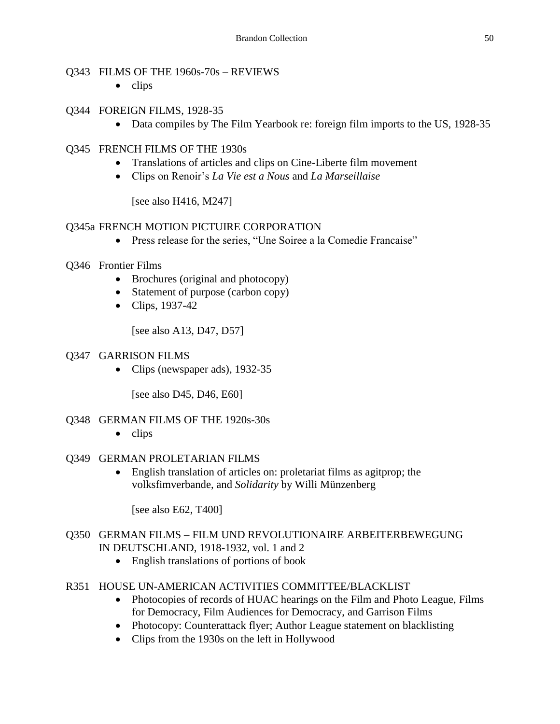#### Q343 FILMS OF THE 1960s-70s – REVIEWS

 $\bullet$  clips

## Q344 FOREIGN FILMS, 1928-35

• Data compiles by The Film Yearbook re: foreign film imports to the US, 1928-35

## Q345 FRENCH FILMS OF THE 1930s

- Translations of articles and clips on Cine-Liberte film movement
- Clips on Renoir's *La Vie est a Nous* and *La Marseillaise*

[see also H416, M247]

## Q345a FRENCH MOTION PICTUIRE CORPORATION

Press release for the series, "Une Soiree a la Comedie Francaise"

## Q346 Frontier Films

- Brochures (original and photocopy)
- Statement of purpose (carbon copy)
- Clips, 1937-42

[see also A13, D47, D57]

#### Q347 GARRISON FILMS

• Clips (newspaper ads), 1932-35

[see also D45, D46, E60]

#### Q348 GERMAN FILMS OF THE 1920s-30s

 $\bullet$  clips

#### Q349 GERMAN PROLETARIAN FILMS

 English translation of articles on: proletariat films as agitprop; the volksfimverbande, and *Solidarity* by Willi Münzenberg

[see also E62, T400]

#### Q350 GERMAN FILMS – FILM UND REVOLUTIONAIRE ARBEITERBEWEGUNG IN DEUTSCHLAND, 1918-1932, vol. 1 and 2

- English translations of portions of book
- R351 HOUSE UN-AMERICAN ACTIVITIES COMMITTEE/BLACKLIST
	- Photocopies of records of HUAC hearings on the Film and Photo League, Films for Democracy, Film Audiences for Democracy, and Garrison Films
	- Photocopy: Counterattack flyer; Author League statement on blacklisting
	- Clips from the 1930s on the left in Hollywood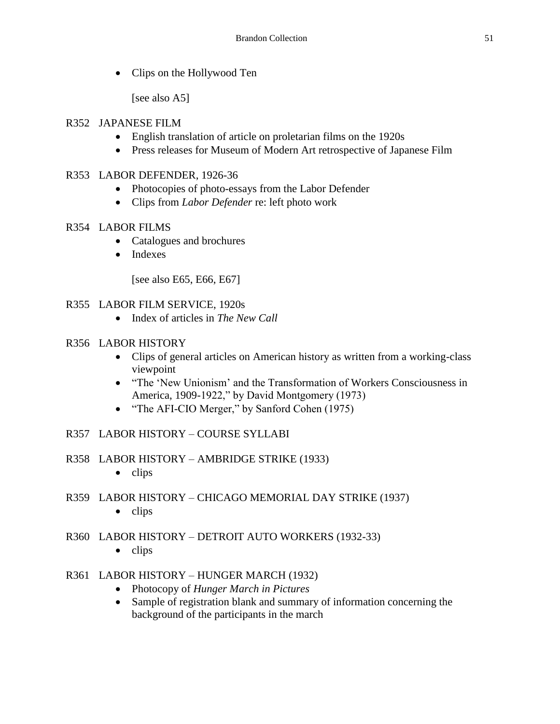• Clips on the Hollywood Ten

[see also A5]

#### R352 JAPANESE FILM

- English translation of article on proletarian films on the 1920s
- Press releases for Museum of Modern Art retrospective of Japanese Film

## R353 LABOR DEFENDER, 1926-36

- Photocopies of photo-essays from the Labor Defender
- Clips from *Labor Defender* re: left photo work

## R354 LABOR FILMS

- Catalogues and brochures
- Indexes

[see also E65, E66, E67]

## R355 LABOR FILM SERVICE, 1920s

• Index of articles in *The New Call* 

#### R356 LABOR HISTORY

- Clips of general articles on American history as written from a working-class viewpoint
- "The 'New Unionism' and the Transformation of Workers Consciousness in America, 1909-1922," by David Montgomery (1973)
- "The AFI-CIO Merger," by Sanford Cohen (1975)

## R357 LABOR HISTORY – COURSE SYLLABI

#### R358 LABOR HISTORY – AMBRIDGE STRIKE (1933)

- $\bullet$  clips
- R359 LABOR HISTORY CHICAGO MEMORIAL DAY STRIKE (1937)
	- $\bullet$  clips

## R360 LABOR HISTORY – DETROIT AUTO WORKERS (1932-33)

 $\bullet$  clips

# R361 LABOR HISTORY – HUNGER MARCH (1932)

- Photocopy of *Hunger March in Pictures*
- Sample of registration blank and summary of information concerning the background of the participants in the march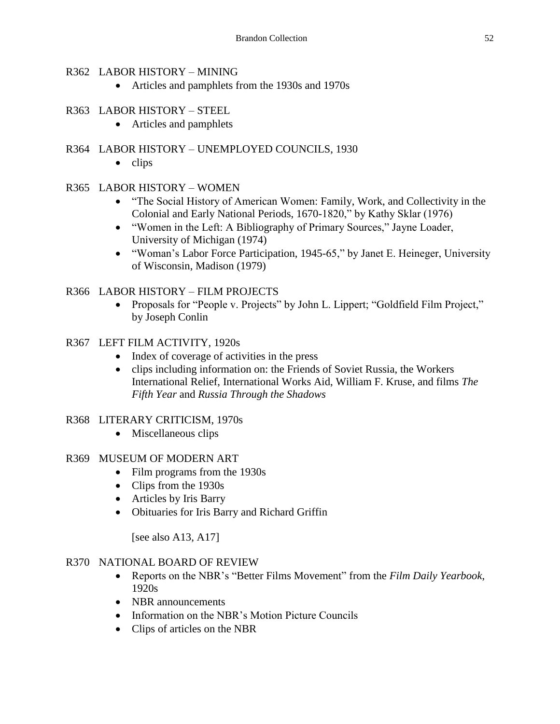#### R362 LABOR HISTORY – MINING

Articles and pamphlets from the 1930s and 1970s

## R363 LABOR HISTORY – STEEL

• Articles and pamphlets

## R364 LABOR HISTORY – UNEMPLOYED COUNCILS, 1930

 $\bullet$  clips

## R365 LABOR HISTORY – WOMEN

- "The Social History of American Women: Family, Work, and Collectivity in the Colonial and Early National Periods, 1670-1820," by Kathy Sklar (1976)
- "Women in the Left: A Bibliography of Primary Sources," Jayne Loader, University of Michigan (1974)
- "Woman's Labor Force Participation, 1945-65," by Janet E. Heineger, University of Wisconsin, Madison (1979)

## R366 LABOR HISTORY – FILM PROJECTS

• Proposals for "People v. Projects" by John L. Lippert; "Goldfield Film Project," by Joseph Conlin

## R367 LEFT FILM ACTIVITY, 1920s

- Index of coverage of activities in the press
- clips including information on: the Friends of Soviet Russia, the Workers International Relief, International Works Aid, William F. Kruse, and films *The Fifth Year* and *Russia Through the Shadows*

#### R368 LITERARY CRITICISM, 1970s

• Miscellaneous clips

#### R369 MUSEUM OF MODERN ART

- Film programs from the 1930s
- Clips from the 1930s
- Articles by Iris Barry
- Obituaries for Iris Barry and Richard Griffin

[see also A13, A17]

#### R370 NATIONAL BOARD OF REVIEW

- Reports on the NBR's "Better Films Movement" from the *Film Daily Yearbook*, 1920s
- NBR announcements
- Information on the NBR's Motion Picture Councils
- Clips of articles on the NBR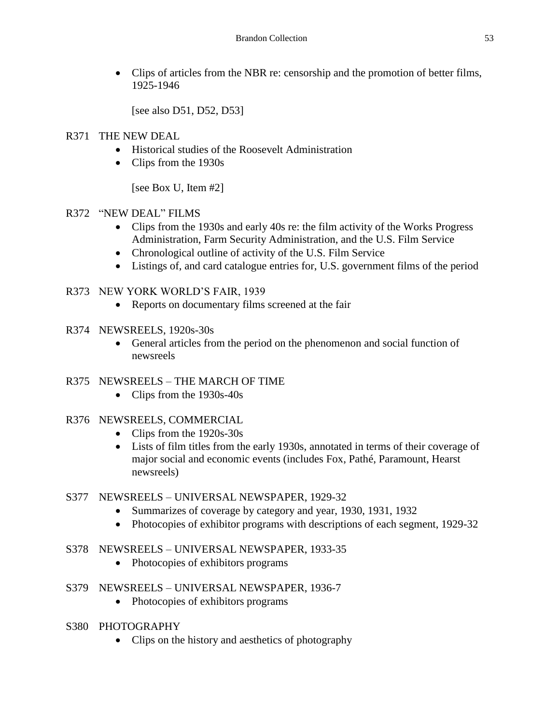Clips of articles from the NBR re: censorship and the promotion of better films, 1925-1946

[see also D51, D52, D53]

- R371 THE NEW DEAL
	- Historical studies of the Roosevelt Administration
	- Clips from the 1930s

[see Box U, Item #2]

## R372 "NEW DEAL" FILMS

- Clips from the 1930s and early 40s re: the film activity of the Works Progress Administration, Farm Security Administration, and the U.S. Film Service
- Chronological outline of activity of the U.S. Film Service
- Listings of, and card catalogue entries for, U.S. government films of the period

## R373 NEW YORK WORLD'S FAIR, 1939

- Reports on documentary films screened at the fair
- R374 NEWSREELS, 1920s-30s
	- General articles from the period on the phenomenon and social function of newsreels

#### R375 NEWSREELS – THE MARCH OF TIME

• Clips from the 1930s-40s

#### R376 NEWSREELS, COMMERCIAL

- Clips from the 1920s-30s
- Lists of film titles from the early 1930s, annotated in terms of their coverage of major social and economic events (includes Fox, Pathé, Paramount, Hearst newsreels)

#### S377 NEWSREELS – UNIVERSAL NEWSPAPER, 1929-32

- Summarizes of coverage by category and year, 1930, 1931, 1932
- Photocopies of exhibitor programs with descriptions of each segment, 1929-32

## S378 NEWSREELS – UNIVERSAL NEWSPAPER, 1933-35

• Photocopies of exhibitors programs

## S379 NEWSREELS – UNIVERSAL NEWSPAPER, 1936-7

- Photocopies of exhibitors programs
- S380 PHOTOGRAPHY
	- Clips on the history and aesthetics of photography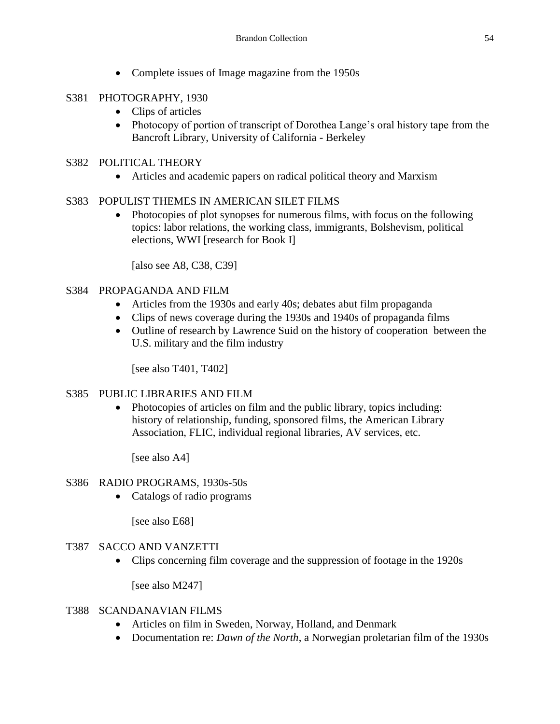• Complete issues of Image magazine from the 1950s

## S381 PHOTOGRAPHY, 1930

- Clips of articles
- Photocopy of portion of transcript of Dorothea Lange's oral history tape from the Bancroft Library, University of California - Berkeley

## S382 POLITICAL THEORY

Articles and academic papers on radical political theory and Marxism

## S383 POPULIST THEMES IN AMERICAN SILET FILMS

• Photocopies of plot synopses for numerous films, with focus on the following topics: labor relations, the working class, immigrants, Bolshevism, political elections, WWI [research for Book I]

[also see A8, C38, C39]

#### S384 PROPAGANDA AND FILM

- Articles from the 1930s and early 40s; debates abut film propaganda
- Clips of news coverage during the 1930s and 1940s of propaganda films
- Outline of research by Lawrence Suid on the history of cooperation between the U.S. military and the film industry

[see also T401, T402]

#### S385 PUBLIC LIBRARIES AND FILM

• Photocopies of articles on film and the public library, topics including: history of relationship, funding, sponsored films, the American Library Association, FLIC, individual regional libraries, AV services, etc.

[see also A4]

#### S386 RADIO PROGRAMS, 1930s-50s

• Catalogs of radio programs

[see also E68]

#### T387 SACCO AND VANZETTI

Clips concerning film coverage and the suppression of footage in the 1920s

[see also M247]

#### T388 SCANDANAVIAN FILMS

- Articles on film in Sweden, Norway, Holland, and Denmark
- Documentation re: *Dawn of the North*, a Norwegian proletarian film of the 1930s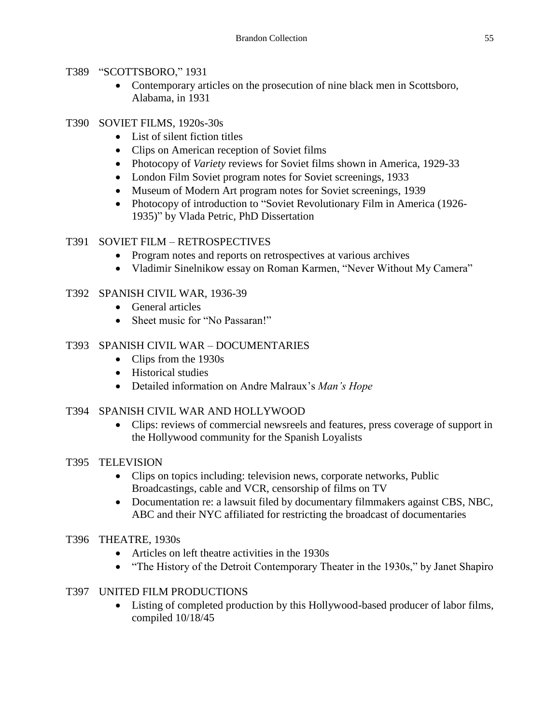#### T389 "SCOTTSBORO," 1931

• Contemporary articles on the prosecution of nine black men in Scottsboro, Alabama, in 1931

## T390 SOVIET FILMS, 1920s-30s

- List of silent fiction titles
- Clips on American reception of Soviet films
- Photocopy of *Variety* reviews for Soviet films shown in America, 1929-33
- London Film Soviet program notes for Soviet screenings, 1933
- Museum of Modern Art program notes for Soviet screenings, 1939
- Photocopy of introduction to "Soviet Revolutionary Film in America (1926-1935)" by Vlada Petric, PhD Dissertation

## T391 SOVIET FILM – RETROSPECTIVES

- Program notes and reports on retrospectives at various archives
- Vladimir Sinelnikow essay on Roman Karmen, "Never Without My Camera"

# T392 SPANISH CIVIL WAR, 1936-39

- General articles
- Sheet music for "No Passaran!"

# T393 SPANISH CIVIL WAR – DOCUMENTARIES

- Clips from the 1930s
- Historical studies
- Detailed information on Andre Malraux's *Man's Hope*

## T394 SPANISH CIVIL WAR AND HOLLYWOOD

 Clips: reviews of commercial newsreels and features, press coverage of support in the Hollywood community for the Spanish Loyalists

## T395 TELEVISION

- Clips on topics including: television news, corporate networks, Public Broadcastings, cable and VCR, censorship of films on TV
- Documentation re: a lawsuit filed by documentary filmmakers against CBS, NBC, ABC and their NYC affiliated for restricting the broadcast of documentaries

## T396 THEATRE, 1930s

- Articles on left theatre activities in the 1930s
- "The History of the Detroit Contemporary Theater in the 1930s," by Janet Shapiro

# T397 UNITED FILM PRODUCTIONS

 Listing of completed production by this Hollywood-based producer of labor films, compiled 10/18/45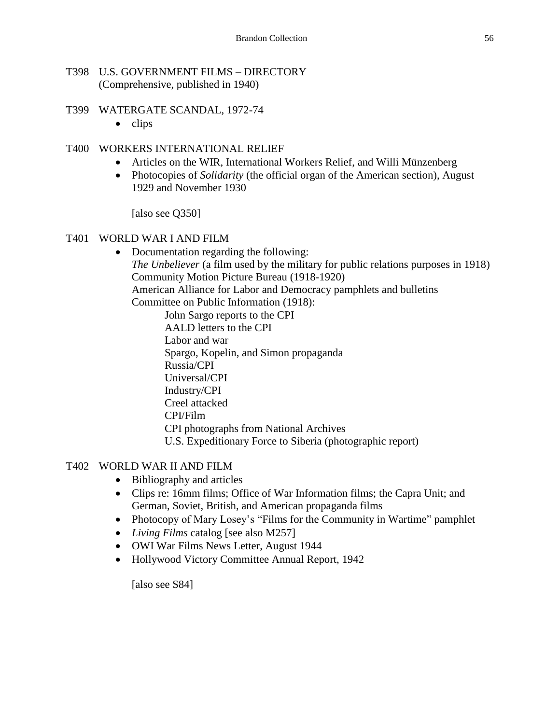#### T398 U.S. GOVERNMENT FILMS – DIRECTORY (Comprehensive, published in 1940)

- T399 WATERGATE SCANDAL, 1972-74
	- $\bullet$  clips

#### T400 WORKERS INTERNATIONAL RELIEF

- Articles on the WIR, International Workers Relief, and Willi Münzenberg
- Photocopies of *Solidarity* (the official organ of the American section), August 1929 and November 1930

[also see Q350]

#### T401 WORLD WAR I AND FILM

- Documentation regarding the following: *The Unbeliever* (a film used by the military for public relations purposes in 1918) Community Motion Picture Bureau (1918-1920) American Alliance for Labor and Democracy pamphlets and bulletins Committee on Public Information (1918):
	- John Sargo reports to the CPI AALD letters to the CPI Labor and war Spargo, Kopelin, and Simon propaganda Russia/CPI Universal/CPI Industry/CPI Creel attacked CPI/Film CPI photographs from National Archives U.S. Expeditionary Force to Siberia (photographic report)

#### T402 WORLD WAR II AND FILM

- Bibliography and articles
- Clips re: 16mm films; Office of War Information films; the Capra Unit; and German, Soviet, British, and American propaganda films
- Photocopy of Mary Losey's "Films for the Community in Wartime" pamphlet
- *Living Films* catalog [see also M257]
- OWI War Films News Letter, August 1944
- Hollywood Victory Committee Annual Report, 1942

[also see S84]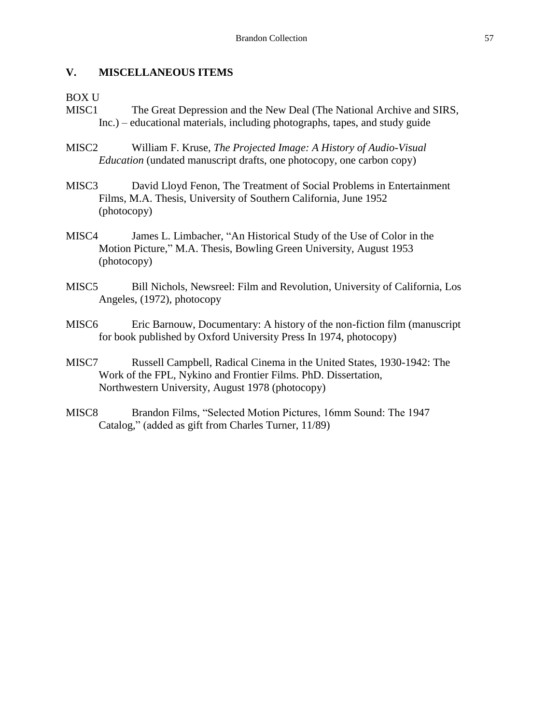#### **V. MISCELLANEOUS ITEMS**

#### BOX U

- MISC1 The Great Depression and the New Deal (The National Archive and SIRS, Inc.) – educational materials, including photographs, tapes, and study guide
- MISC2 William F. Kruse, *The Projected Image: A History of Audio-Visual Education* (undated manuscript drafts, one photocopy, one carbon copy)
- MISC3 David Lloyd Fenon, The Treatment of Social Problems in Entertainment Films, M.A. Thesis, University of Southern California, June 1952 (photocopy)
- MISC4 James L. Limbacher, "An Historical Study of the Use of Color in the Motion Picture," M.A. Thesis, Bowling Green University, August 1953 (photocopy)
- MISC5 Bill Nichols, Newsreel: Film and Revolution, University of California, Los Angeles, (1972), photocopy
- MISC6 Eric Barnouw, Documentary: A history of the non-fiction film (manuscript for book published by Oxford University Press In 1974, photocopy)
- MISC7 Russell Campbell, Radical Cinema in the United States, 1930-1942: The Work of the FPL, Nykino and Frontier Films. PhD. Dissertation, Northwestern University, August 1978 (photocopy)
- MISC8 Brandon Films, "Selected Motion Pictures, 16mm Sound: The 1947 Catalog," (added as gift from Charles Turner, 11/89)